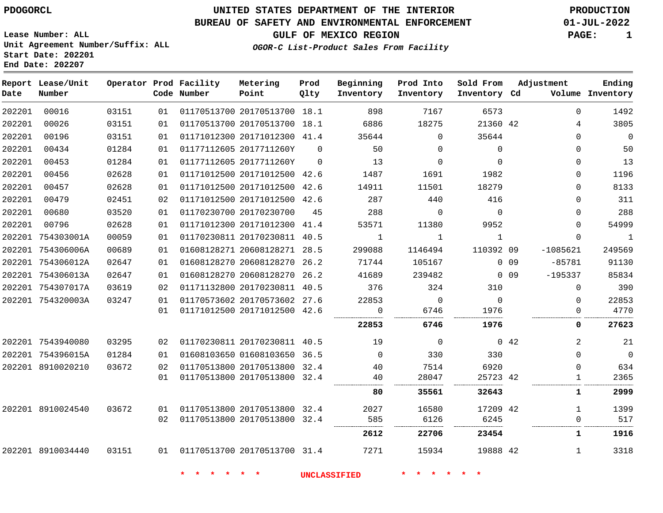### **BUREAU OF SAFETY AND ENVIRONMENTAL ENFORCEMENT 01-JUL-2022**

**OGOR-C List-Product Sales From Facility**

**GULF OF MEXICO REGION PAGE: 1**

**Lease Number: ALL Unit Agreement Number/Suffix: ALL Start Date: 202201 End Date: 202207**

| Date   | Report Lease/Unit<br>Number |       |    | Operator Prod Facility<br>Code Number | Metering<br>Point            | Prod<br>Qlty | Beginning<br>Inventory | Prod Into<br>Inventory | Sold From<br>Inventory Cd |                 | Adjustment   | Ending<br>Volume Inventory |
|--------|-----------------------------|-------|----|---------------------------------------|------------------------------|--------------|------------------------|------------------------|---------------------------|-----------------|--------------|----------------------------|
| 202201 | 00016                       | 03151 | 01 |                                       | 01170513700 20170513700 18.1 |              | 898                    | 7167                   | 6573                      |                 | $\Omega$     | 1492                       |
| 202201 | 00026                       | 03151 | 01 |                                       | 01170513700 20170513700 18.1 |              | 6886                   | 18275                  | 21360 42                  |                 | 4            | 3805                       |
| 202201 | 00196                       | 03151 | 01 |                                       | 01171012300 20171012300 41.4 |              | 35644                  | $\Omega$               | 35644                     |                 | $\Omega$     | $\mathbf 0$                |
| 202201 | 00434                       | 01284 | 01 |                                       | 01177112605 2017711260Y      | $\Omega$     | 50                     | $\Omega$               | $\Omega$                  |                 | $\Omega$     | 50                         |
| 202201 | 00453                       | 01284 | 01 |                                       | 01177112605 2017711260Y      | $\Omega$     | 13                     | $\Omega$               | $\Omega$                  |                 | $\Omega$     | 13                         |
| 202201 | 00456                       | 02628 | 01 |                                       | 01171012500 20171012500 42.6 |              | 1487                   | 1691                   | 1982                      |                 | $\Omega$     | 1196                       |
| 202201 | 00457                       | 02628 | 01 |                                       | 01171012500 20171012500 42.6 |              | 14911                  | 11501                  | 18279                     |                 | $\Omega$     | 8133                       |
| 202201 | 00479                       | 02451 | 02 |                                       | 01171012500 20171012500 42.6 |              | 287                    | 440                    | 416                       |                 | $\Omega$     | 311                        |
| 202201 | 00680                       | 03520 | 01 |                                       | 01170230700 20170230700      | 45           | 288                    | $\Omega$               | $\Omega$                  |                 | $\Omega$     | 288                        |
| 202201 | 00796                       | 02628 | 01 |                                       | 01171012300 20171012300 41.4 |              | 53571                  | 11380                  | 9952                      |                 | $\Omega$     | 54999                      |
|        | 202201 754303001A           | 00059 | 01 |                                       | 01170230811 20170230811 40.5 |              | $\mathbf{1}$           | $\mathbf{1}$           | $\mathbf{1}$              |                 | $\mathbf 0$  | $\mathbf{1}$               |
|        | 202201 754306006A           | 00689 | 01 |                                       | 01608128271 20608128271 28.5 |              | 299088                 | 1146494                | 110392 09                 |                 | $-1085621$   | 249569                     |
|        | 202201 754306012A           | 02647 | 01 |                                       | 01608128270 20608128270 26.2 |              | 71744                  | 105167                 |                           | 0.09            | $-85781$     | 91130                      |
|        | 202201 754306013A           | 02647 | 01 |                                       | 01608128270 20608128270 26.2 |              | 41689                  | 239482                 |                           | 0 <sub>09</sub> | $-195337$    | 85834                      |
|        | 202201 754307017A           | 03619 | 02 |                                       | 01171132800 20170230811 40.5 |              | 376                    | 324                    | 310                       |                 | $\mathbf 0$  | 390                        |
|        | 202201 754320003A           | 03247 | 01 |                                       | 01170573602 20170573602 27.6 |              | 22853                  | $\Omega$               | $\Omega$                  |                 | $\Omega$     | 22853                      |
|        |                             |       | 01 |                                       | 01171012500 20171012500 42.6 |              | $\mathbf 0$            | 6746                   | 1976                      |                 | $\mathbf 0$  | 4770                       |
|        |                             |       |    |                                       |                              |              | 22853                  | 6746                   | 1976                      |                 | 0            | 27623                      |
|        | 202201 7543940080           | 03295 | 02 |                                       | 01170230811 20170230811 40.5 |              | 19                     | $\Omega$               |                           | 042             | 2            | 21                         |
|        | 202201 754396015A           | 01284 | 01 |                                       | 01608103650 01608103650 36.5 |              | $\Omega$               | 330                    | 330                       |                 | $\Omega$     | $\overline{0}$             |
|        | 202201 8910020210           | 03672 | 02 |                                       | 01170513800 20170513800 32.4 |              | 40                     | 7514                   | 6920                      |                 | $\Omega$     | 634                        |
|        |                             |       | 01 |                                       | 01170513800 20170513800 32.4 |              | 40                     | 28047                  | 25723 42<br>              |                 | $\mathbf{1}$ | 2365                       |
|        |                             |       |    |                                       |                              |              | 80                     | 35561                  | 32643                     |                 | 1            | 2999                       |
|        | 202201 8910024540           | 03672 | 01 |                                       | 01170513800 20170513800 32.4 |              | 2027                   | 16580                  | 17209 42                  |                 | $\mathbf{1}$ | 1399                       |
|        |                             |       | 02 |                                       | 01170513800 20170513800 32.4 |              | 585                    | 6126                   | 6245                      |                 | $\Omega$     | 517                        |
|        |                             |       |    |                                       |                              |              | 2612                   | 22706                  | 23454                     |                 | $\mathbf{1}$ | 1916                       |
|        | 202201 8910034440           | 03151 | 01 |                                       | 01170513700 20170513700 31.4 |              | 7271                   | 15934                  | 19888 42                  |                 | 1            | 3318                       |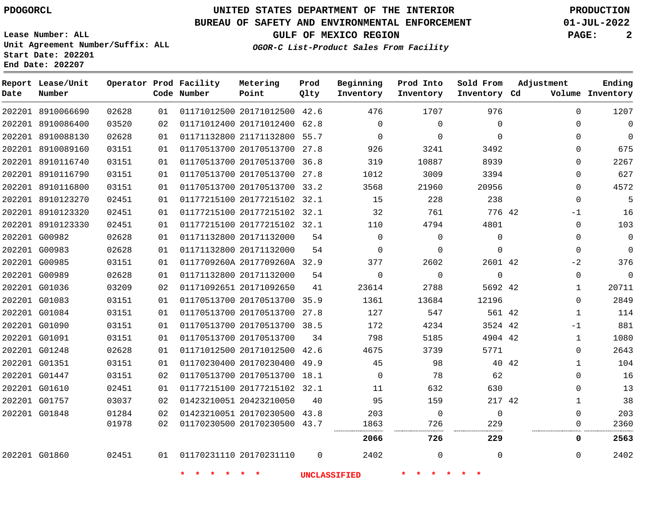### **BUREAU OF SAFETY AND ENVIRONMENTAL ENFORCEMENT 01-JUL-2022**

**OGOR-C List-Product Sales From Facility**

**GULF OF MEXICO REGION PAGE: 2**

**Lease Number: ALL Unit Agreement Number/Suffix: ALL Start Date: 202201 End Date: 202207**

| Date | Report Lease/Unit<br>Number |       |    | Operator Prod Facility<br>Code Number | Metering<br>Point            | Prod<br>Qlty | Beginning<br>Inventory | Prod Into<br>Inventory | Sold From<br>Inventory Cd | Adjustment            | Ending<br>Volume Inventory |
|------|-----------------------------|-------|----|---------------------------------------|------------------------------|--------------|------------------------|------------------------|---------------------------|-----------------------|----------------------------|
|      | 202201 8910066690           | 02628 | 01 |                                       | 01171012500 20171012500 42.6 |              | 476                    | 1707                   | 976                       | $\Omega$              | 1207                       |
|      | 202201 8910086400           | 03520 | 02 |                                       | 01171012400 20171012400 62.8 |              | $\Omega$               | $\Omega$               | $\Omega$                  | $\Omega$              | $\overline{0}$             |
|      | 202201 8910088130           | 02628 | 01 |                                       | 01171132800 21171132800 55.7 |              | $\Omega$               | $\Omega$               | $\Omega$                  | $\mathbf 0$           | $\overline{0}$             |
|      | 202201 8910089160           | 03151 | 01 |                                       | 01170513700 20170513700 27.8 |              | 926                    | 3241                   | 3492                      | 0                     | 675                        |
|      | 202201 8910116740           | 03151 | 01 |                                       | 01170513700 20170513700 36.8 |              | 319                    | 10887                  | 8939                      | $\mathbf 0$           | 2267                       |
|      | 202201 8910116790           | 03151 | 01 |                                       | 01170513700 20170513700 27.8 |              | 1012                   | 3009                   | 3394                      | $\mathbf 0$           | 627                        |
|      | 202201 8910116800           | 03151 | 01 |                                       | 01170513700 20170513700 33.2 |              | 3568                   | 21960                  | 20956                     | $\mathbf 0$           | 4572                       |
|      | 202201 8910123270           | 02451 | 01 |                                       | 01177215100 20177215102 32.1 |              | 15                     | 228                    | 238                       | 0                     | 5                          |
|      | 202201 8910123320           | 02451 | 01 |                                       | 01177215100 20177215102 32.1 |              | 32                     | 761                    | 776 42                    | $-1$                  | 16                         |
|      | 202201 8910123330           | 02451 | 01 |                                       | 01177215100 20177215102 32.1 |              | 110                    | 4794                   | 4801                      | $\mathbf 0$           | 103                        |
|      | 202201 G00982               | 02628 | 01 |                                       | 01171132800 20171132000      | 54           | $\mathbf 0$            | 0                      | $\Omega$                  | $\mathbf 0$           | $\mathbf 0$                |
|      | 202201 G00983               | 02628 | 01 |                                       | 01171132800 20171132000      | 54           | $\Omega$               | $\mathbf 0$            | $\mathbf{0}$              | $\mathbf 0$           | $\mathbf 0$                |
|      | 202201 G00985               | 03151 | 01 |                                       | 0117709260A 2017709260A 32.9 |              | 377                    | 2602                   | 2601 42                   | $-2$                  | 376                        |
|      | 202201 G00989               | 02628 | 01 |                                       | 01171132800 20171132000      | 54           | $\Omega$               | $\mathbf 0$            | $\mathbf{0}$              | $\mathbf{0}$          | $\mathbf 0$                |
|      | 202201 G01036               | 03209 | 02 |                                       | 01171092651 20171092650      | 41           | 23614                  | 2788                   | 5692 42                   | $\mathbf{1}$          | 20711                      |
|      | 202201 G01083               | 03151 | 01 |                                       | 01170513700 20170513700 35.9 |              | 1361                   | 13684                  | 12196                     | $\mathbf 0$           | 2849                       |
|      | 202201 G01084               | 03151 | 01 |                                       | 01170513700 20170513700 27.8 |              | 127                    | 547                    | 561 42                    | $\mathbf{1}$          | 114                        |
|      | 202201 G01090               | 03151 | 01 |                                       | 01170513700 20170513700 38.5 |              | 172                    | 4234                   | 3524 42                   | $-1$                  | 881                        |
|      | 202201 G01091               | 03151 | 01 |                                       | 01170513700 20170513700      | 34           | 798                    | 5185                   | 4904 42                   | $\mathbf{1}$          | 1080                       |
|      | 202201 G01248               | 02628 | 01 |                                       | 01171012500 20171012500 42.6 |              | 4675                   | 3739                   | 5771                      | $\mathbf 0$           | 2643                       |
|      | 202201 G01351               | 03151 | 01 |                                       | 01170230400 20170230400      | 49.9         | 45                     | 98                     |                           | 40 42<br>$\mathbf{1}$ | 104                        |
|      | 202201 G01447               | 03151 | 02 |                                       | 01170513700 20170513700 18.1 |              | $\Omega$               | 78                     | 62                        | $\mathbf 0$           | 16                         |
|      | 202201 G01610               | 02451 | 01 |                                       | 01177215100 20177215102 32.1 |              | 11                     | 632                    | 630                       | 0                     | 13                         |
|      | 202201 G01757               | 03037 | 02 |                                       | 01423210051 20423210050      | 40           | 95                     | 159                    | 217 42                    | $\mathbf{1}$          | 38                         |
|      | 202201 G01848               | 01284 | 02 |                                       | 01423210051 20170230500 43.8 |              | 203                    | $\mathbf 0$            | $\Omega$                  | $\Omega$              | 203                        |
|      |                             | 01978 | 02 |                                       | 01170230500 20170230500 43.7 |              | 1863                   | 726                    | 229                       | $\Omega$              | 2360                       |
|      |                             |       |    |                                       |                              |              | 2066                   | 726                    | 229                       | 0                     | 2563                       |
|      | 202201 G01860               | 02451 | 01 |                                       | 01170231110 20170231110      | $\Omega$     | 2402                   | $\Omega$               | $\Omega$                  | $\Omega$              | 2402                       |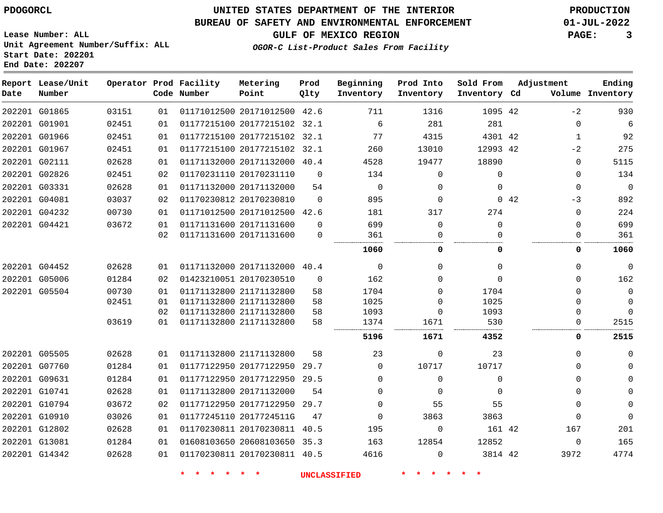### **BUREAU OF SAFETY AND ENVIRONMENTAL ENFORCEMENT 01-JUL-2022**

**OGOR-C List-Product Sales From Facility**

**GULF OF MEXICO REGION PAGE: 3**

**Lease Number: ALL Unit Agreement Number/Suffix: ALL Start Date: 202201 End Date: 202207**

| Date | Report Lease/Unit<br>Number |       |    | Operator Prod Facility<br>Code Number | Metering<br>Point            | Prod<br>Qlty | Beginning<br>Inventory | Prod Into<br>Inventory | Sold From<br>Inventory Cd | Adjustment |             | Ending<br>Volume Inventory |
|------|-----------------------------|-------|----|---------------------------------------|------------------------------|--------------|------------------------|------------------------|---------------------------|------------|-------------|----------------------------|
|      | 202201 G01865               | 03151 | 01 |                                       | 01171012500 20171012500 42.6 |              | 711                    | 1316                   | 1095 42                   |            | $-2$        | 930                        |
|      | 202201 G01901               | 02451 | 01 |                                       | 01177215100 20177215102 32.1 |              | 6                      | 281                    | 281                       |            | $\Omega$    | $\overline{6}$             |
|      | 202201 G01966               | 02451 | 01 |                                       | 01177215100 20177215102 32.1 |              | 77                     | 4315                   | 4301 42                   |            | 1           | 92                         |
|      | 202201 G01967               | 02451 | 01 |                                       | 01177215100 20177215102 32.1 |              | 260                    | 13010                  | 12993 42                  |            | $-2$        | 275                        |
|      | 202201 G02111               | 02628 | 01 |                                       | 01171132000 20171132000 40.4 |              | 4528                   | 19477                  | 18890                     |            | $\Omega$    | 5115                       |
|      | 202201 G02826               | 02451 | 02 |                                       | 01170231110 20170231110      | $\Omega$     | 134                    | $\Omega$               | $\Omega$                  |            | $\Omega$    | 134                        |
|      | 202201 G03331               | 02628 | 01 |                                       | 01171132000 20171132000      | 54           | $\Omega$               | $\Omega$               | $\Omega$                  |            | $\mathbf 0$ | $\mathbf 0$                |
|      | 202201 G04081               | 03037 | 02 |                                       | 01170230812 20170230810      | $\Omega$     | 895                    | 0                      |                           | 0.42       | $-3$        | 892                        |
|      | 202201 G04232               | 00730 | 01 |                                       | 01171012500 20171012500 42.6 |              | 181                    | 317                    | 274                       |            | $\Omega$    | 224                        |
|      | 202201 G04421               | 03672 | 01 |                                       | 01171131600 20171131600      | $\Omega$     | 699                    | $\Omega$               | $\Omega$                  |            | $\Omega$    | 699                        |
|      |                             |       | 02 |                                       | 01171131600 20171131600      | $\Omega$     | 361                    | $\Omega$               |                           |            | $\Omega$    | 361                        |
|      |                             |       |    |                                       |                              |              | 1060                   | 0                      | 0                         |            | 0           | 1060                       |
|      | 202201 G04452               | 02628 | 01 |                                       | 01171132000 20171132000 40.4 |              | 0                      | $\Omega$               | $\Omega$                  |            | $\Omega$    | 0                          |
|      | 202201 G05006               | 01284 | 02 |                                       | 01423210051 20170230510      | $\Omega$     | 162                    | $\Omega$               | $\Omega$                  |            | $\Omega$    | 162                        |
|      | 202201 G05504               | 00730 | 01 |                                       | 01171132800 21171132800      | 58           | 1704                   | $\Omega$               | 1704                      |            | $\Omega$    | 0                          |
|      |                             | 02451 | 01 |                                       | 01171132800 21171132800      | 58           | 1025                   | 0                      | 1025                      |            | $\Omega$    | $\mathbf 0$                |
|      |                             |       | 02 |                                       | 01171132800 21171132800      | 58           | 1093                   | 0                      | 1093                      |            | $\Omega$    | $\Omega$                   |
|      |                             | 03619 | 01 |                                       | 01171132800 21171132800      | 58           | 1374                   | 1671                   | 530                       |            | 0           | 2515                       |
|      |                             |       |    |                                       |                              |              | 5196                   | 1671                   | 4352                      |            | 0           | 2515                       |
|      | 202201 G05505               | 02628 | 01 |                                       | 01171132800 21171132800      | 58           | 23                     | $\Omega$               | 23                        |            | $\Omega$    | $\Omega$                   |
|      | 202201 G07760               | 01284 | 01 |                                       | 01177122950 20177122950      | 29.7         | $\Omega$               | 10717                  | 10717                     |            | $\Omega$    | $\Omega$                   |
|      | 202201 G09631               | 01284 | 01 |                                       | 01177122950 20177122950      | 29.5         | $\Omega$               | $\Omega$               | $\Omega$                  |            | $\Omega$    | $\mathbf 0$                |
|      | 202201 G10741               | 02628 | 01 |                                       | 01171132800 20171132000      | 54           | $\Omega$               | $\Omega$               | $\Omega$                  |            | 0           | $\mathbf 0$                |
|      | 202201 G10794               | 03672 | 02 |                                       | 01177122950 20177122950 29.7 |              | $\Omega$               | 55                     | 55                        |            | 0           | $\mathbf 0$                |
|      | 202201 G10910               | 03026 | 01 |                                       | 01177245110 2017724511G      | 47           | $\mathbf 0$            | 3863                   | 3863                      |            | $\mathbf 0$ | $\mathbf 0$                |
|      | 202201 G12802               | 02628 | 01 |                                       | 01170230811 20170230811 40.5 |              | 195                    | $\mathbf 0$            | 161 42                    |            | 167         | 201                        |
|      | 202201 G13081               | 01284 | 01 |                                       | 01608103650 20608103650 35.3 |              | 163                    | 12854                  | 12852                     |            | $\Omega$    | 165                        |
|      | 202201 G14342               | 02628 | 01 |                                       | 01170230811 20170230811 40.5 |              | 4616                   | $\Omega$               | 3814 42                   |            | 3972        | 4774                       |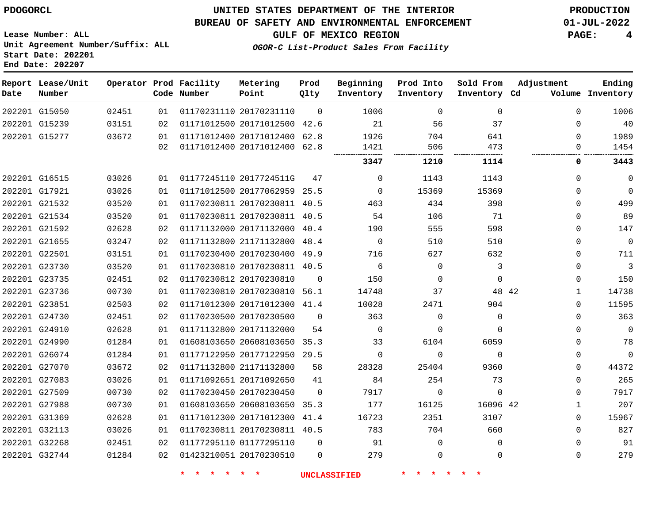#### **BUREAU OF SAFETY AND ENVIRONMENTAL ENFORCEMENT 01-JUL-2022**

**GULF OF MEXICO REGION PAGE: 4**

**Lease Number: ALL Unit Agreement Number/Suffix: ALL Start Date: 202201 End Date: 202207**

|  | OGOR-C List-Product Sales From Facility |  |  |  |
|--|-----------------------------------------|--|--|--|
|--|-----------------------------------------|--|--|--|

| Date | Report Lease/Unit<br>Number |       |    | Operator Prod Facility<br>Code Number | Metering<br>Point            | Prod<br>Qlty | Beginning<br>Inventory | Prod Into<br>Inventory | Sold From<br>Inventory Cd | Adjustment   | Ending<br>Volume Inventory |
|------|-----------------------------|-------|----|---------------------------------------|------------------------------|--------------|------------------------|------------------------|---------------------------|--------------|----------------------------|
|      | 202201 G15050               | 02451 | 01 |                                       | 01170231110 20170231110      | $\Omega$     | 1006                   | $\Omega$               | $\Omega$                  | $\Omega$     | 1006                       |
|      | 202201 G15239               | 03151 | 02 |                                       | 01171012500 20171012500 42.6 |              | 21                     | 56                     | 37                        | $\Omega$     | 40                         |
|      | 202201 G15277               | 03672 | 01 |                                       | 01171012400 20171012400 62.8 |              | 1926                   | 704                    | 641                       | $\mathbf{0}$ | 1989                       |
|      |                             |       | 02 |                                       | 01171012400 20171012400 62.8 |              | 1421                   | 506                    | 473                       | $\Omega$     | 1454                       |
|      |                             |       |    |                                       |                              |              | 3347                   | 1210                   | 1114                      | 0            | 3443                       |
|      | 202201 G16515               | 03026 | 01 |                                       | 01177245110 2017724511G      | 47           | $\Omega$               | 1143                   | 1143                      | $\Omega$     | $\mathbf 0$                |
|      | 202201 G17921               | 03026 | 01 |                                       | 01171012500 20177062959 25.5 |              | $\Omega$               | 15369                  | 15369                     | $\Omega$     | $\Omega$                   |
|      | 202201 G21532               | 03520 | 01 |                                       | 01170230811 20170230811 40.5 |              | 463                    | 434                    | 398                       | $\Omega$     | 499                        |
|      | 202201 G21534               | 03520 | 01 |                                       | 01170230811 20170230811 40.5 |              | 54                     | 106                    | 71                        | $\Omega$     | 89                         |
|      | 202201 G21592               | 02628 | 02 |                                       | 01171132000 20171132000 40.4 |              | 190                    | 555                    | 598                       | $\Omega$     | 147                        |
|      | 202201 G21655               | 03247 | 02 |                                       | 01171132800 21171132800 48.4 |              | $\Omega$               | 510                    | 510                       | $\Omega$     | $\Omega$                   |
|      | 202201 G22501               | 03151 | 01 |                                       | 01170230400 20170230400 49.9 |              | 716                    | 627                    | 632                       | $\Omega$     | 711                        |
|      | 202201 G23730               | 03520 | 01 |                                       | 01170230810 20170230811 40.5 |              | 6                      | $\mathbf 0$            | 3                         | $\Omega$     | $\mathbf{3}$               |
|      | 202201 G23735               | 02451 | 02 |                                       | 01170230812 20170230810      | $\Omega$     | 150                    | $\mathbf 0$            | $\mathbf 0$               | $\Omega$     | 150                        |
|      | 202201 G23736               | 00730 | 01 |                                       | 01170230810 20170230810 56.1 |              | 14748                  | 37                     |                           | 48 42<br>1   | 14738                      |
|      | 202201 G23851               | 02503 | 02 |                                       | 01171012300 20171012300 41.4 |              | 10028                  | 2471                   | 904                       | $\Omega$     | 11595                      |
|      | 202201 G24730               | 02451 | 02 |                                       | 01170230500 20170230500      | $\Omega$     | 363                    | $\Omega$               | $\Omega$                  | $\Omega$     | 363                        |
|      | 202201 G24910               | 02628 | 01 |                                       | 01171132800 20171132000      | 54           | $\mathbf 0$            | $\mathbf 0$            | $\mathbf 0$               | $\Omega$     | $\mathbf 0$                |
|      | 202201 G24990               | 01284 | 01 |                                       | 01608103650 20608103650 35.3 |              | 33                     | 6104                   | 6059                      | $\mathbf{0}$ | 78                         |
|      | 202201 G26074               | 01284 | 01 |                                       | 01177122950 20177122950 29.5 |              | $\mathbf 0$            | $\mathbf 0$            | $\Omega$                  | $\mathbf{0}$ | $\mathbf{0}$               |
|      | 202201 G27070               | 03672 | 02 |                                       | 01171132800 21171132800      | 58           | 28328                  | 25404                  | 9360                      | 0            | 44372                      |
|      | 202201 G27083               | 03026 | 01 |                                       | 01171092651 20171092650      | 41           | 84                     | 254                    | 73                        | $\Omega$     | 265                        |
|      | 202201 G27509               | 00730 | 02 |                                       | 01170230450 20170230450      | $\Omega$     | 7917                   | $\mathbf 0$            | $\mathbf 0$               | $\Omega$     | 7917                       |
|      | 202201 G27988               | 00730 | 01 |                                       | 01608103650 20608103650 35.3 |              | 177                    | 16125                  | 16096 42                  | 1            | 207                        |
|      | 202201 G31369               | 02628 | 01 |                                       | 01171012300 20171012300 41.4 |              | 16723                  | 2351                   | 3107                      | $\Omega$     | 15967                      |
|      | 202201 G32113               | 03026 | 01 |                                       | 01170230811 20170230811 40.5 |              | 783                    | 704                    | 660                       | $\Omega$     | 827                        |
|      | 202201 G32268               | 02451 | 02 |                                       | 01177295110 01177295110      | $\mathbf 0$  | 91                     | $\mathbf 0$            | $\Omega$                  | $\Omega$     | 91                         |
|      | 202201 G32744               | 01284 | 02 |                                       | 01423210051 20170230510      | $\Omega$     | 279                    | $\mathbf 0$            | $\mathbf 0$               | $\mathbf{0}$ | 279                        |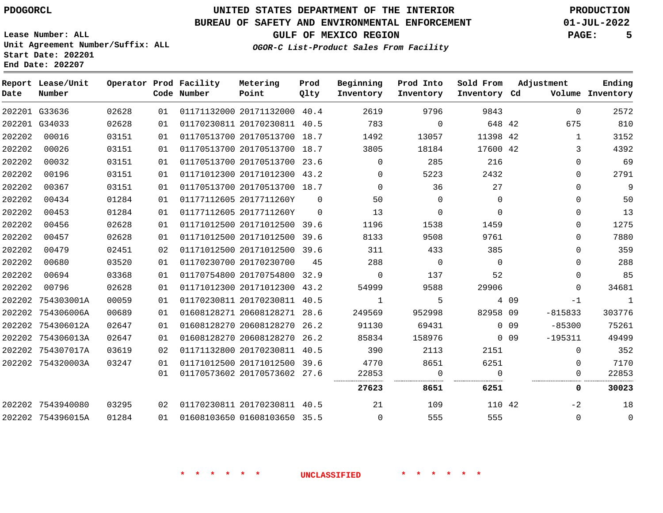**Lease Number: ALL**

**Start Date: 202201 End Date: 202207**

# **UNITED STATES DEPARTMENT OF THE INTERIOR PDOGORCL PRODUCTION**

### **BUREAU OF SAFETY AND ENVIRONMENTAL ENFORCEMENT 01-JUL-2022**

**Unit Agreement Number/Suffix: ALL**

**GULF OF MEXICO REGION PAGE: 5**

**OGOR-C List-Product Sales From Facility**

| Date   | Report Lease/Unit<br>Number |       |    | Operator Prod Facility<br>Code Number | Metering<br>Point            | Prod<br>Qlty | Beginning<br>Inventory | Prod Into<br>Inventory | Sold From<br>Inventory Cd |        | Adjustment   | Ending<br>Volume Inventory |
|--------|-----------------------------|-------|----|---------------------------------------|------------------------------|--------------|------------------------|------------------------|---------------------------|--------|--------------|----------------------------|
|        | 202201 G33636               | 02628 | 01 |                                       | 01171132000 20171132000 40.4 |              | 2619                   | 9796                   | 9843                      |        | $\Omega$     | 2572                       |
|        | 202201 G34033               | 02628 | 01 |                                       | 01170230811 20170230811 40.5 |              | 783                    | $\Omega$               | 648 42                    |        | 675          | 810                        |
| 202202 | 00016                       | 03151 | 01 |                                       | 01170513700 20170513700 18.7 |              | 1492                   | 13057                  | 11398 42                  |        | $\mathbf{1}$ | 3152                       |
| 202202 | 00026                       | 03151 | 01 |                                       | 01170513700 20170513700 18.7 |              | 3805                   | 18184                  | 17600 42                  |        | 3            | 4392                       |
| 202202 | 00032                       | 03151 | 01 |                                       | 01170513700 20170513700 23.6 |              | $\Omega$               | 285                    | 216                       |        | 0            | 69                         |
| 202202 | 00196                       | 03151 | 01 |                                       | 01171012300 20171012300 43.2 |              | $\Omega$               | 5223                   | 2432                      |        | 0            | 2791                       |
| 202202 | 00367                       | 03151 | 01 |                                       | 01170513700 20170513700 18.7 |              | $\mathbf 0$            | 36                     | 27                        |        | 0            | $\overline{9}$             |
| 202202 | 00434                       | 01284 | 01 |                                       | 01177112605 2017711260Y      | $\Omega$     | 50                     | $\Omega$               | $\Omega$                  |        | 0            | 50                         |
| 202202 | 00453                       | 01284 | 01 |                                       | 01177112605 2017711260Y      | $\Omega$     | 13                     | $\mathbf 0$            | $\Omega$                  |        | 0            | 13                         |
| 202202 | 00456                       | 02628 | 01 |                                       | 01171012500 20171012500 39.6 |              | 1196                   | 1538                   | 1459                      |        | 0            | 1275                       |
| 202202 | 00457                       | 02628 | 01 |                                       | 01171012500 20171012500 39.6 |              | 8133                   | 9508                   | 9761                      |        | 0            | 7880                       |
| 202202 | 00479                       | 02451 | 02 |                                       | 01171012500 20171012500 39.6 |              | 311                    | 433                    | 385                       |        | 0            | 359                        |
| 202202 | 00680                       | 03520 | 01 |                                       | 01170230700 20170230700      | 45           | 288                    | $\Omega$               | $\Omega$                  |        | $\Omega$     | 288                        |
| 202202 | 00694                       | 03368 | 01 |                                       | 01170754800 20170754800 32.9 |              | $\mathbf 0$            | 137                    | 52                        |        | 0            | 85                         |
| 202202 | 00796                       | 02628 | 01 |                                       | 01171012300 20171012300      | 43.2         | 54999                  | 9588                   | 29906                     |        | $\Omega$     | 34681                      |
| 202202 | 754303001A                  | 00059 | 01 |                                       | 01170230811 20170230811 40.5 |              | 1                      | 5                      |                           | 4 0 9  | $-1$         | 1                          |
|        | 202202 754306006A           | 00689 | 01 |                                       | 01608128271 20608128271 28.6 |              | 249569                 | 952998                 | 82958 09                  |        | $-815833$    | 303776                     |
| 202202 | 754306012A                  | 02647 | 01 |                                       | 01608128270 20608128270      | 26.2         | 91130                  | 69431                  |                           | $0$ 09 | $-85300$     | 75261                      |
|        | 202202 754306013A           | 02647 | 01 |                                       | 01608128270 20608128270      | 26.2         | 85834                  | 158976                 |                           | 0.09   | $-195311$    | 49499                      |
|        | 202202 754307017A           | 03619 | 02 |                                       | 01171132800 20170230811 40.5 |              | 390                    | 2113                   | 2151                      |        | $\Omega$     | 352                        |
|        | 202202 754320003A           | 03247 | 01 |                                       | 01171012500 20171012500 39.6 |              | 4770                   | 8651                   | 6251                      |        | $\Omega$     | 7170                       |
|        |                             |       | 01 |                                       | 01170573602 20170573602 27.6 |              | 22853                  | $\mathbf 0$            | $\Omega$                  |        | 0            | 22853                      |
|        |                             |       |    |                                       |                              |              | 27623                  | 8651                   | 6251                      |        | 0            | 30023                      |
|        | 202202 7543940080           | 03295 | 02 |                                       | 01170230811 20170230811 40.5 |              | 21                     | 109                    | 110 42                    |        | $-2$         | 18                         |
|        | 202202 754396015A           | 01284 | 01 |                                       | 01608103650 01608103650 35.5 |              | $\Omega$               | 555                    | 555                       |        | $\Omega$     | $\overline{0}$             |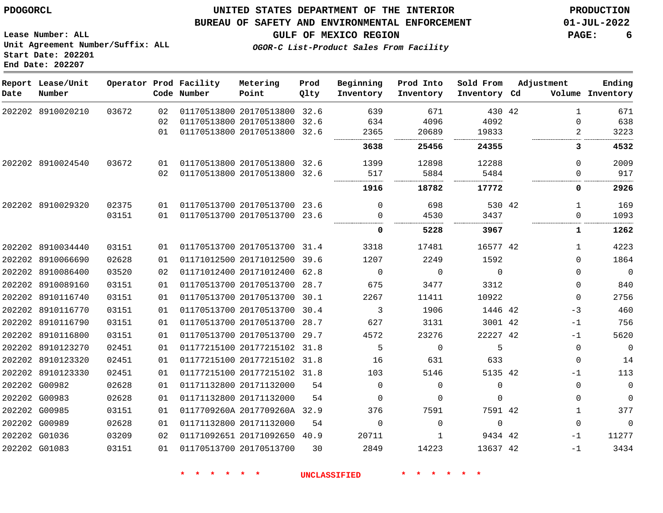#### **BUREAU OF SAFETY AND ENVIRONMENTAL ENFORCEMENT 01-JUL-2022**

**Lease Number: ALL Unit Agreement Number/Suffix: ALL Start Date: 202201 End Date: 202207**

**GULF OF MEXICO REGION PAGE: 6**

**OGOR-C List-Product Sales From Facility**

| Date | Report Lease/Unit<br>Number |       |     | Operator Prod Facility<br>Code Number | Metering<br>Point            | Prod<br>Qlty | Beginning<br>Inventory | Prod Into<br>Inventory | Sold From<br>Inventory Cd | Adjustment   | Ending<br>Volume Inventory |
|------|-----------------------------|-------|-----|---------------------------------------|------------------------------|--------------|------------------------|------------------------|---------------------------|--------------|----------------------------|
|      | 202202 8910020210           | 03672 | 02  |                                       | 01170513800 20170513800 32.6 |              | 639                    | 671                    | 430 42                    | $\mathbf{1}$ | 671                        |
|      |                             |       | 02  |                                       | 01170513800 20170513800 32.6 |              | 634                    | 4096                   | 4092                      | 0            | 638                        |
|      |                             |       | 01  |                                       | 01170513800 20170513800 32.6 |              | 2365                   | 20689                  | 19833                     | 2            | 3223                       |
|      |                             |       |     |                                       |                              |              | 3638                   | 25456                  | 24355                     | 3            | 4532                       |
|      | 202202 8910024540           | 03672 | 01  |                                       | 01170513800 20170513800 32.6 |              | 1399                   | 12898                  | 12288                     | $\Omega$     | 2009                       |
|      |                             |       | 02  |                                       | 01170513800 20170513800 32.6 |              | 517                    | 5884                   | 5484                      | $\Omega$     | 917                        |
|      |                             |       |     |                                       |                              |              | 1916                   | 18782                  | 17772                     | 0            | 2926                       |
|      | 202202 8910029320           | 02375 | 01  |                                       | 01170513700 20170513700 23.6 |              | $\Omega$               | 698                    | 530 42                    | $\mathbf{1}$ | 169                        |
|      |                             | 03151 | 01  |                                       | 01170513700 20170513700 23.6 |              | 0                      | 4530                   | 3437                      | $\Omega$     | 1093                       |
|      |                             |       |     |                                       |                              |              | 0                      | 5228                   | 3967                      | 1            | 1262                       |
|      | 202202 8910034440           | 03151 | 01  |                                       | 01170513700 20170513700 31.4 |              | 3318                   | 17481                  | 16577 42                  | $\mathbf{1}$ | 4223                       |
|      | 202202 8910066690           | 02628 | 01  |                                       | 01171012500 20171012500 39.6 |              | 1207                   | 2249                   | 1592                      | $\Omega$     | 1864                       |
|      | 202202 8910086400           | 03520 | 02  |                                       | 01171012400 20171012400 62.8 |              | $\overline{0}$         | 0                      | $\mathbf{0}$              | 0            | $\overline{0}$             |
|      | 202202 8910089160           | 03151 | 01  |                                       | 01170513700 20170513700 28.7 |              | 675                    | 3477                   | 3312                      | 0            | 840                        |
|      | 202202 8910116740           | 03151 | 01  |                                       | 01170513700 20170513700 30.1 |              | 2267                   | 11411                  | 10922                     | 0            | 2756                       |
|      | 202202 8910116770           | 03151 | 01  |                                       | 01170513700 20170513700 30.4 |              | 3                      | 1906                   | 1446 42                   | $-3$         | 460                        |
|      | 202202 8910116790           | 03151 | 01  |                                       | 01170513700 20170513700 28.7 |              | 627                    | 3131                   | 3001 42                   | $-1$         | 756                        |
|      | 202202 8910116800           | 03151 | 01  |                                       | 01170513700 20170513700 29.7 |              | 4572                   | 23276                  | 22227 42                  | $-1$         | 5620                       |
|      | 202202 8910123270           | 02451 | 01  |                                       | 01177215100 20177215102 31.8 |              | 5                      | 0                      | 5                         | $\mathbf 0$  | $\overline{0}$             |
|      | 202202 8910123320           | 02451 | 01  |                                       | 01177215100 20177215102 31.8 |              | 16                     | 631                    | 633                       | 0            | 14                         |
|      | 202202 8910123330           | 02451 | 01  |                                       | 01177215100 20177215102 31.8 |              | 103                    | 5146                   | 5135 42                   | $-1$         | 113                        |
|      | 202202 G00982               | 02628 | 01  |                                       | 01171132800 20171132000      | 54           | $\Omega$               | $\Omega$               | $\Omega$                  | $\Omega$     | $\mathbf{0}$               |
|      | 202202 G00983               | 02628 | 01  |                                       | 01171132800 20171132000      | 54           | $\Omega$               | $\mathbf 0$            | $\Omega$                  | $\Omega$     | $\Omega$                   |
|      | 202202 G00985               | 03151 | 01  |                                       | 0117709260A 2017709260A 32.9 |              | 376                    | 7591                   | 7591 42                   | $\mathbf{1}$ | 377                        |
|      | 202202 G00989               | 02628 | 01  |                                       | 01171132800 20171132000      | 54           | $\Omega$               | $\mathbf 0$            | $\mathbf 0$               | $\mathbf 0$  | $\mathbf 0$                |
|      | 202202 G01036               | 03209 | 02  |                                       | 01171092651 20171092650 40.9 |              | 20711                  | $\mathbf{1}$           | 9434 42                   | $-1$         | 11277                      |
|      | 202202 G01083               | 03151 | 0 1 |                                       | 01170513700 20170513700      | 30           | 2849                   | 14223                  | 13637 42                  | $-1$         | 3434                       |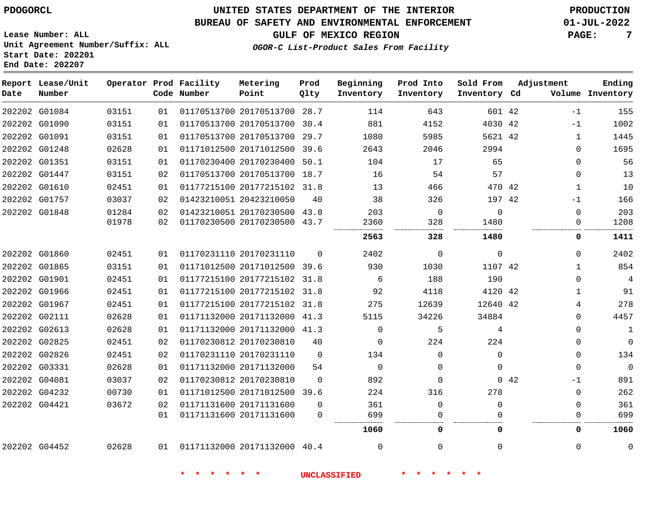### **BUREAU OF SAFETY AND ENVIRONMENTAL ENFORCEMENT 01-JUL-2022**

**OGOR-C List-Product Sales From Facility**

**GULF OF MEXICO REGION PAGE: 7**

**Lease Number: ALL Unit Agreement Number/Suffix: ALL Start Date: 202201 End Date: 202207**

| Date          | Report Lease/Unit<br>Number |       |    | Operator Prod Facility<br>Code Number | Metering<br>Point            | Prod<br>Qlty | Beginning<br>Inventory | Prod Into<br>Inventory | Sold From<br>Inventory Cd | Adjustment   | Ending<br>Volume Inventory |
|---------------|-----------------------------|-------|----|---------------------------------------|------------------------------|--------------|------------------------|------------------------|---------------------------|--------------|----------------------------|
|               | 202202 G01084               | 03151 | 01 |                                       | 01170513700 20170513700      | 28.7         | 114                    | 643                    | 601 42                    | $-1$         | 155                        |
|               | 202202 G01090               | 03151 | 01 |                                       | 01170513700 20170513700 30.4 |              | 881                    | 4152                   | 4030 42                   | $-1$         | 1002                       |
| 202202 G01091 |                             | 03151 | 01 |                                       | 01170513700 20170513700      | 29.7         | 1080                   | 5985                   | 5621 42                   | $\mathbf{1}$ | 1445                       |
|               | 202202 G01248               | 02628 | 01 |                                       | 01171012500 20171012500 39.6 |              | 2643                   | 2046                   | 2994                      | 0            | 1695                       |
|               | 202202 G01351               | 03151 | 01 |                                       | 01170230400 20170230400      | 50.1         | 104                    | 17                     | 65                        | $\Omega$     | 56                         |
|               | 202202 G01447               | 03151 | 02 |                                       | 01170513700 20170513700 18.7 |              | 16                     | 54                     | 57                        | $\Omega$     | 13                         |
| 202202 G01610 |                             | 02451 | 01 |                                       | 01177215100 20177215102 31.8 |              | 13                     | 466                    | 470 42                    | 1            | 10                         |
| 202202 G01757 |                             | 03037 | 02 |                                       | 01423210051 20423210050      | 40           | 38                     | 326                    | 197 42                    | $-1$         | 166                        |
| 202202 G01848 |                             | 01284 | 02 |                                       | 01423210051 20170230500 43.8 |              | 203                    | $\Omega$               | $\Omega$                  | $\Omega$     | 203                        |
|               |                             | 01978 | 02 |                                       | 01170230500 20170230500 43.7 |              | 2360<br>.              | 328                    | 1480                      | 0            | 1208                       |
|               |                             |       |    |                                       |                              |              | 2563                   | 328                    | 1480                      | 0            | 1411                       |
|               | 202202 G01860               | 02451 | 01 |                                       | 01170231110 20170231110      | $\Omega$     | 2402                   | $\Omega$               | $\mathbf 0$               | $\Omega$     | 2402                       |
|               | 202202 G01865               | 03151 | 01 |                                       | 01171012500 20171012500 39.6 |              | 930                    | 1030                   | 1107 42                   | $\mathbf{1}$ | 854                        |
| 202202 G01901 |                             | 02451 | 01 |                                       | 01177215100 20177215102      | 31.8         | 6                      | 188                    | 190                       | $\Omega$     | $\overline{4}$             |
|               | 202202 G01966               | 02451 | 01 |                                       | 01177215100 20177215102      | 31.8         | 92                     | 4118                   | 4120 42                   | $\mathbf{1}$ | 91                         |
|               | 202202 G01967               | 02451 | 01 |                                       | 01177215100 20177215102 31.8 |              | 275                    | 12639                  | 12640 42                  | 4            | 278                        |
| 202202 G02111 |                             | 02628 | 01 |                                       | 01171132000 20171132000 41.3 |              | 5115                   | 34226                  | 34884                     | $\mathbf 0$  | 4457                       |
| 202202 G02613 |                             | 02628 | 01 |                                       | 01171132000 20171132000      | 41.3         | $\Omega$               | 5                      | 4                         | 0            | 1                          |
|               | 202202 G02825               | 02451 | 02 |                                       | 01170230812 20170230810      | 40           | $\Omega$               | 224                    | 224                       | $\Omega$     | $\overline{0}$             |
|               | 202202 G02826               | 02451 | 02 |                                       | 01170231110 20170231110      | $\Omega$     | 134                    | $\Omega$               | $\Omega$                  | $\mathbf 0$  | 134                        |
|               | 202202 G03331               | 02628 | 01 |                                       | 01171132000 20171132000      | 54           | $\overline{0}$         | $\Omega$               | $\Omega$                  | $\mathbf 0$  | $\overline{0}$             |
| 202202 G04081 |                             | 03037 | 02 |                                       | 01170230812 20170230810      | $\Omega$     | 892                    | $\Omega$               |                           | 0.42<br>$-1$ | 891                        |
|               | 202202 G04232               | 00730 | 01 |                                       | 01171012500 20171012500 39.6 |              | 224                    | 316                    | 278                       | $\mathbf 0$  | 262                        |
| 202202 G04421 |                             | 03672 | 02 |                                       | 01171131600 20171131600      | $\Omega$     | 361                    | $\Omega$               | $\Omega$                  | 0            | 361                        |
|               |                             |       | 01 |                                       | 01171131600 20171131600      | $\Omega$     | 699                    | $\Omega$               | $\Omega$                  | 0            | 699                        |
|               |                             |       |    |                                       |                              |              | 1060                   | 0                      | 0                         | 0            | 1060                       |
|               | 202202 G04452               | 02628 | 01 |                                       | 01171132000 20171132000 40.4 |              | $\Omega$               | $\Omega$               | $\Omega$                  | 0            | $\mathbf 0$                |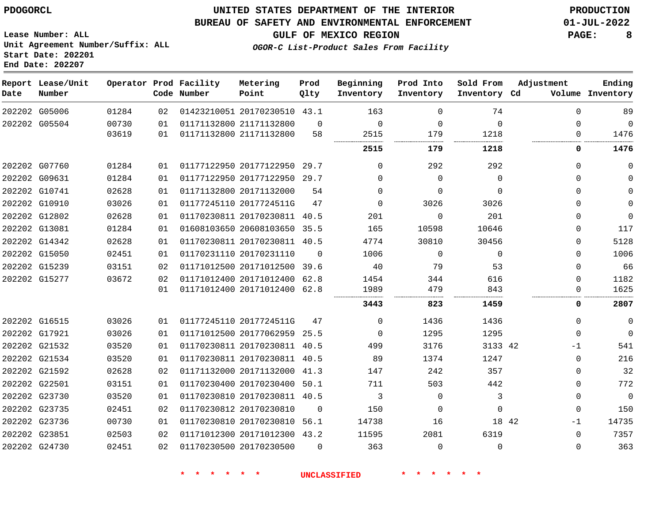**Start Date: 202201 End Date: 202207**

### **UNITED STATES DEPARTMENT OF THE INTERIOR PDOGORCL PRODUCTION**

#### **BUREAU OF SAFETY AND ENVIRONMENTAL ENFORCEMENT 01-JUL-2022**

**Lease Number: ALL Unit Agreement Number/Suffix: ALL**

**GULF OF MEXICO REGION PAGE: 8**

**OGOR-C List-Product Sales From Facility**

| Date | Report Lease/Unit<br>Number |       |     | Operator Prod Facility<br>Code Number | Metering<br>Point            | Prod<br>Qlty | Beginning<br>Inventory | Prod Into<br>Inventory | Sold From<br>Inventory Cd | Adjustment | Ending<br>Volume Inventory |
|------|-----------------------------|-------|-----|---------------------------------------|------------------------------|--------------|------------------------|------------------------|---------------------------|------------|----------------------------|
|      | 202202 G05006               | 01284 | 02  |                                       | 01423210051 20170230510 43.1 |              | 163                    | $\Omega$               | 74                        | $\Omega$   | 89                         |
|      | 202202 G05504               | 00730 | 01  |                                       | 01171132800 21171132800      | $\Omega$     | $\Omega$               | $\Omega$               | $\Omega$                  | 0          | $\mathbf 0$                |
|      |                             | 03619 | 01  |                                       | 01171132800 21171132800      | 58           | 2515                   | 179                    | 1218                      | 0          | 1476                       |
|      |                             |       |     |                                       |                              |              | 2515                   | 179                    | 1218                      | 0          | 1476                       |
|      | 202202 G07760               | 01284 | 01  |                                       | 01177122950 20177122950 29.7 |              | $\Omega$               | 292                    | 292                       | $\Omega$   | $\mathbf 0$                |
|      | 202202 G09631               | 01284 | 01  |                                       | 01177122950 20177122950 29.7 |              | $\Omega$               | $\Omega$               | $\Omega$                  | $\Omega$   | $\mathbf 0$                |
|      | 202202 G10741               | 02628 | 01  |                                       | 01171132800 20171132000      | 54           | $\mathbf 0$            | $\Omega$               | $\mathbf 0$               | $\Omega$   | $\mathbf 0$                |
|      | 202202 G10910               | 03026 | 01  |                                       | 01177245110 2017724511G      | 47           | $\Omega$               | 3026                   | 3026                      | $\Omega$   | 0                          |
|      | 202202 G12802               | 02628 | 01  |                                       | 01170230811 20170230811 40.5 |              | 201                    | $\mathbf 0$            | 201                       | 0          | $\overline{0}$             |
|      | 202202 G13081               | 01284 | 01  |                                       | 01608103650 20608103650 35.5 |              | 165                    | 10598                  | 10646                     | 0          | 117                        |
|      | 202202 G14342               | 02628 | 01  |                                       | 01170230811 20170230811 40.5 |              | 4774                   | 30810                  | 30456                     | 0          | 5128                       |
|      | 202202 G15050               | 02451 | 01  |                                       | 01170231110 20170231110      | $\Omega$     | 1006                   | $\Omega$               | $\Omega$                  | 0          | 1006                       |
|      | 202202 G15239               | 03151 | 02  |                                       | 01171012500 20171012500 39.6 |              | 40                     | 79                     | 53                        | $\Omega$   | 66                         |
|      | 202202 G15277               | 03672 | 02  |                                       | 01171012400 20171012400 62.8 |              | 1454                   | 344                    | 616                       | $\Omega$   | 1182                       |
|      |                             |       | 01  |                                       | 01171012400 20171012400 62.8 |              | 1989                   | 479                    | 843                       | 0          | 1625                       |
|      |                             |       |     |                                       |                              |              | 3443                   | 823                    | 1459                      | 0          | 2807                       |
|      | 202202 G16515               | 03026 | 01  |                                       | 01177245110 2017724511G      | 47           | $\Omega$               | 1436                   | 1436                      | $\Omega$   | $\mathbf 0$                |
|      | 202202 G17921               | 03026 | 01  |                                       | 01171012500 20177062959 25.5 |              | $\Omega$               | 1295                   | 1295                      | $\Omega$   | $\mathbf 0$                |
|      | 202202 G21532               | 03520 | 0 1 |                                       | 01170230811 20170230811 40.5 |              | 499                    | 3176                   | 3133 42                   | $-1$       | 541                        |
|      | 202202 G21534               | 03520 | 01  |                                       | 01170230811 20170230811 40.5 |              | 89                     | 1374                   | 1247                      | $\Omega$   | 216                        |
|      | 202202 G21592               | 02628 | 02  |                                       | 01171132000 20171132000 41.3 |              | 147                    | 242                    | 357                       | 0          | 32                         |
|      | 202202 G22501               | 03151 | 01  |                                       | 01170230400 20170230400 50.1 |              | 711                    | 503                    | 442                       | 0          | 772                        |
|      | 202202 G23730               | 03520 | 01  |                                       | 01170230810 20170230811 40.5 |              | 3                      | $\Omega$               | 3                         | 0          | $\overline{0}$             |
|      | 202202 G23735               | 02451 | 02  |                                       | 01170230812 20170230810      | $\Omega$     | 150                    | $\Omega$               | $\Omega$                  | $\Omega$   | 150                        |
|      | 202202 G23736               | 00730 | 01  |                                       | 01170230810 20170230810 56.1 |              | 14738                  | 16                     | 18 42                     | $-1$       | 14735                      |
|      | 202202 G23851               | 02503 | 02  |                                       | 01171012300 20171012300 43.2 |              | 11595                  | 2081                   | 6319                      | 0          | 7357                       |
|      | 202202 G24730               | 02451 | 02  |                                       | 01170230500 20170230500      | $\Omega$     | 363                    | $\Omega$               | $\Omega$                  | $\Omega$   | 363                        |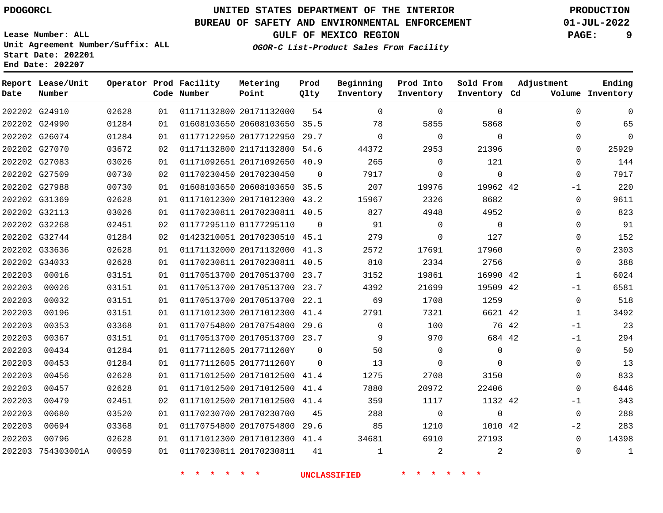### **BUREAU OF SAFETY AND ENVIRONMENTAL ENFORCEMENT 01-JUL-2022**

**Lease Number: ALL Unit Agreement Number/Suffix: ALL**

**GULF OF MEXICO REGION PAGE: 9**

**OGOR-C List-Product Sales From Facility**

**Prod Into Inventory**

**Sold From Inventory**

**Ending**

**Inventory Cd Volume**

**Adjustment**

|                | Unit Agreement Number/Suffix: ALL<br>Start Date: 202201<br>End Date: 202207 |        |               |                                       |                                         |              | OGOR-C List-Product Sales B |
|----------------|-----------------------------------------------------------------------------|--------|---------------|---------------------------------------|-----------------------------------------|--------------|-----------------------------|
| Report<br>Date | Lease/Unit<br>Number                                                        |        |               | Operator Prod Facility<br>Code Number | Metering<br>Point                       | Prod<br>Qlty | Beginning<br>Inventory      |
| 202202         | G24910                                                                      | 02628  | 01            |                                       | 01171132800 20171132000                 | 54           | $\Omega$                    |
|                | 202202 G24990                                                               | 01284  | 01            |                                       | 01608103650 20608103650                 | 35.5         | 78                          |
|                | 202202 G26074                                                               | 01284  | 01            |                                       | 01177122950 20177122950                 | 29.7         | $\Omega$                    |
|                | 202202 G27070                                                               | 03672  | 02            |                                       | 01171132800 21171132800                 | 54.6         | 44372                       |
|                | 202202 G27083                                                               | 03026  | 01            |                                       | 01171092651 20171092650                 | 40.9         | 265                         |
| 202202         | G27509                                                                      | 00730  | 02            |                                       | 01170230450 20170230450                 | $\Omega$     | 7917                        |
| 202202         | G27988                                                                      | 00730  | 01            |                                       | 01608103650 20608103650                 | 35.5         | 207                         |
|                | 202202 G31369                                                               | 02628  | 01            |                                       | 01171012300 20171012300                 | 43.2         | 15967                       |
|                |                                                                             | 0.2002 | $\sim$ $\sim$ |                                       | $0.11700000011$ $0.0170000011$ $10$ $F$ |              | $\cap$ $\cap$               |

| $\Omega$     | 0            | $\Omega$ |                | $\Omega$ | $\Omega$ | 54       | 01171132800 20171132000      | 01 | 02628 | 202202 G24910     |        |
|--------------|--------------|----------|----------------|----------|----------|----------|------------------------------|----|-------|-------------------|--------|
| 65           | 0            |          | 5868           | 5855     | 78       |          | 01608103650 20608103650 35.5 | 01 | 01284 | 202202 G24990     |        |
| $\mathbf 0$  | 0            |          | $\mathbf 0$    | 0        | $\Omega$ | 29.7     | 01177122950 20177122950      | 01 | 01284 | 202202 G26074     |        |
| 25929        | $\Omega$     |          | 21396          | 2953     | 44372    |          | 01171132800 21171132800 54.6 | 02 | 03672 | 202202 G27070     |        |
| 144          | 0            |          | 121            | $\Omega$ | 265      |          | 01171092651 20171092650 40.9 | 01 | 03026 | 202202 G27083     |        |
| 7917         | 0            |          | $\mathbf 0$    | $\Omega$ | 7917     | $\Omega$ | 01170230450 20170230450      | 02 | 00730 | 202202 G27509     |        |
| 220          | $-1$         |          | 19962 42       | 19976    | 207      |          | 01608103650 20608103650 35.5 | 01 | 00730 | 202202 G27988     |        |
| 9611         | 0            |          | 8682           | 2326     | 15967    |          | 01171012300 20171012300 43.2 | 01 | 02628 | 202202 G31369     |        |
| 823          | 0            |          | 4952           | 4948     | 827      |          | 01170230811 20170230811 40.5 | 01 | 03026 | 202202 G32113     |        |
| 91           | 0            |          | $\overline{0}$ | 0        | 91       | 0        | 01177295110 01177295110      | 02 | 02451 | 202202 G32268     |        |
| 152          | 0            |          | 127            | 0        | 279      |          | 01423210051 20170230510 45.1 | 02 | 01284 | 202202 G32744     |        |
| 2303         | 0            |          | 17960          | 17691    | 2572     |          | 01171132000 20171132000 41.3 | 01 | 02628 | 202202 G33636     |        |
| 388          | 0            |          | 2756           | 2334     | 810      |          | 01170230811 20170230811 40.5 | 01 | 02628 | 202202 G34033     |        |
| 6024         | $\mathbf{1}$ |          | 16990 42       | 19861    | 3152     |          | 01170513700 20170513700 23.7 | 01 | 03151 | 00016             | 202203 |
| 6581         | -1           |          | 19509 42       | 21699    | 4392     |          | 01170513700 20170513700 23.7 | 01 | 03151 | 00026             | 202203 |
| 518          | 0            |          | 1259           | 1708     | 69       |          | 01170513700 20170513700 22.1 | 01 | 03151 | 00032             | 202203 |
| 3492         | $\mathbf{1}$ |          | 6621 42        | 7321     | 2791     |          | 01171012300 20171012300 41.4 | 01 | 03151 | 00196             | 202203 |
| 23           | -1           | 76 42    |                | 100      | $\Omega$ |          | 01170754800 20170754800 29.6 | 01 | 03368 | 00353             | 202203 |
| 294          | $-1$         |          | 684 42         | 970      | 9        |          | 01170513700 20170513700 23.7 | 01 | 03151 | 00367             | 202203 |
| 50           | 0            |          | $\Omega$       | 0        | 50       | $\Omega$ | 01177112605 2017711260Y      | 01 | 01284 | 00434             | 202203 |
| 13           | 0            |          | $\Omega$       | $\Omega$ | 13       | $\Omega$ | 01177112605 2017711260Y      | 01 | 01284 | 00453             | 202203 |
| 833          | 0            |          | 3150           | 2708     | 1275     |          | 01171012500 20171012500 41.4 | 01 | 02628 | 00456             | 202203 |
| 6446         | $\Omega$     |          | 22406          | 20972    | 7880     | 41.4     | 01171012500 20171012500      | 01 | 02628 | 00457             | 202203 |
| 343          | -1           |          | 1132 42        | 1117     | 359      |          | 01171012500 20171012500 41.4 | 02 | 02451 | 00479             | 202203 |
| 288          | $\Omega$     |          | $\Omega$       | $\Omega$ | 288      | 45       | 01170230700 20170230700      | 01 | 03520 | 00680             | 202203 |
| 283          | $-2$         |          | 1010 42        | 1210     | 85       |          | 01170754800 20170754800 29.6 | 01 | 03368 | 00694             | 202203 |
| 14398        | 0            |          | 27193          | 6910     | 34681    |          | 01171012300 20171012300 41.4 | 01 | 02628 | 00796             | 202203 |
| $\mathbf{1}$ | $\mathbf 0$  | 2        |                | 2        | 1        | 41       | 01170230811 20170230811      | 01 | 00059 | 202203 754303001A |        |
|              |              |          |                |          |          |          |                              |    |       |                   |        |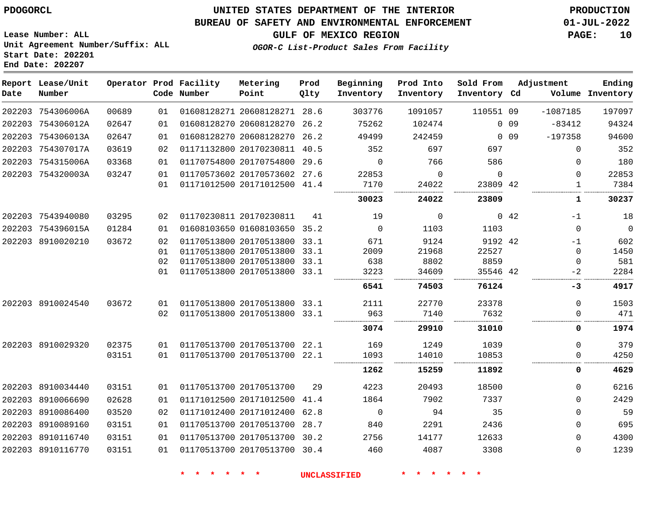#### **BUREAU OF SAFETY AND ENVIRONMENTAL ENFORCEMENT 01-JUL-2022**

**GULF OF MEXICO REGION PAGE: 10**

**Lease Number: ALL Unit Agreement Number/Suffix: ALL Start Date: 202201 End Date: 202207**

**OGOR-C List-Product Sales From Facility**

| Date   | Report Lease/Unit<br>Number |       |    | Operator Prod Facility<br>Code Number | Metering<br>Point            | Prod<br>Qlty | Beginning<br>Inventory | Prod Into<br>Inventory | Sold From<br>Inventory Cd |                 | Adjustment  | Ending<br>Volume Inventory |
|--------|-----------------------------|-------|----|---------------------------------------|------------------------------|--------------|------------------------|------------------------|---------------------------|-----------------|-------------|----------------------------|
|        | 202203 754306006A           | 00689 | 01 |                                       | 01608128271 20608128271 28.6 |              | 303776                 | 1091057                | 110551 09                 |                 | $-1087185$  | 197097                     |
|        | 202203 754306012A           | 02647 | 01 |                                       | 01608128270 20608128270 26.2 |              | 75262                  | 102474                 |                           | 0.09            | $-83412$    | 94324                      |
|        | 202203 754306013A           | 02647 | 01 |                                       | 01608128270 20608128270 26.2 |              | 49499                  | 242459                 |                           | 0 <sub>09</sub> | $-197358$   | 94600                      |
|        | 202203 754307017A           | 03619 | 02 |                                       | 01171132800 20170230811 40.5 |              | 352                    | 697                    | 697                       |                 | 0           | 352                        |
|        | 202203 754315006A           | 03368 | 01 |                                       | 01170754800 20170754800 29.6 |              | $\Omega$               | 766                    | 586                       |                 | 0           | 180                        |
|        | 202203 754320003A           | 03247 | 01 |                                       | 01170573602 20170573602 27.6 |              | 22853                  | $\mathbf 0$            | $\mathbf 0$               |                 | 0           | 22853                      |
|        |                             |       | 01 |                                       | 01171012500 20171012500 41.4 |              | 7170                   | 24022                  | 23809 42                  |                 | 1           | 7384                       |
|        |                             |       |    |                                       |                              |              | 30023                  | 24022                  | 23809                     |                 | 1           | 30237                      |
|        | 202203 7543940080           | 03295 | 02 |                                       | 01170230811 20170230811      | 41           | 19                     | $\mathbf 0$            |                           | 0.42            | $-1$        | 18                         |
|        | 202203 754396015A           | 01284 | 01 |                                       | 01608103650 01608103650 35.2 |              | $\mathbf 0$            | 1103                   | 1103                      |                 | 0           | $\mathbf 0$                |
|        | 202203 8910020210           | 03672 | 02 |                                       | 01170513800 20170513800 33.1 |              | 671                    | 9124                   | 9192 42                   |                 | $-1$        | 602                        |
|        |                             |       | 01 |                                       | 01170513800 20170513800 33.1 |              | 2009                   | 21968                  | 22527                     |                 | $\mathbf 0$ | 1450                       |
|        |                             |       | 02 |                                       | 01170513800 20170513800 33.1 |              | 638                    | 8802                   | 8859                      |                 | 0           | 581                        |
|        |                             |       | 01 |                                       | 01170513800 20170513800 33.1 |              | 3223                   | 34609                  | 35546 42                  |                 | $-2$        | 2284                       |
|        |                             |       |    |                                       |                              |              | 6541                   | 74503                  | 76124                     |                 | -3          | 4917                       |
|        | 202203 8910024540           | 03672 | 01 |                                       | 01170513800 20170513800 33.1 |              | 2111                   | 22770                  | 23378                     |                 | 0           | 1503                       |
|        |                             |       | 02 |                                       | 01170513800 20170513800 33.1 |              | 963                    | 7140                   | 7632                      |                 | 0           | 471                        |
|        |                             |       |    |                                       |                              |              | 3074                   | 29910                  | 31010                     |                 | 0           | 1974                       |
|        | 202203 8910029320           | 02375 | 01 |                                       | 01170513700 20170513700 22.1 |              | 169                    | 1249                   | 1039                      |                 | 0           | 379                        |
|        |                             | 03151 | 01 |                                       | 01170513700 20170513700 22.1 |              | 1093                   | 14010                  | 10853                     |                 | 0           | 4250                       |
|        |                             |       |    |                                       |                              |              | 1262                   | 15259                  | 11892                     |                 | 0           | 4629                       |
|        | 202203 8910034440           | 03151 | 01 |                                       | 01170513700 20170513700      | 29           | 4223                   | 20493                  | 18500                     |                 | 0           | 6216                       |
|        | 202203 8910066690           | 02628 | 01 |                                       | 01171012500 20171012500      | 41.4         | 1864                   | 7902                   | 7337                      |                 | $\Omega$    | 2429                       |
| 202203 | 8910086400                  | 03520 | 02 |                                       | 01171012400 20171012400      | 62.8         | $\mathbf 0$            | 94                     | 35                        |                 | 0           | 59                         |
| 202203 | 8910089160                  | 03151 | 01 |                                       | 01170513700 20170513700      | 28.7         | 840                    | 2291                   | 2436                      |                 | 0           | 695                        |
| 202203 | 8910116740                  | 03151 | 01 |                                       | 01170513700 20170513700 30.2 |              | 2756                   | 14177                  | 12633                     |                 | $\Omega$    | 4300                       |
|        | 202203 8910116770           | 03151 | 01 |                                       | 01170513700 20170513700 30.4 |              | 460                    | 4087                   | 3308                      |                 | $\Omega$    | 1239                       |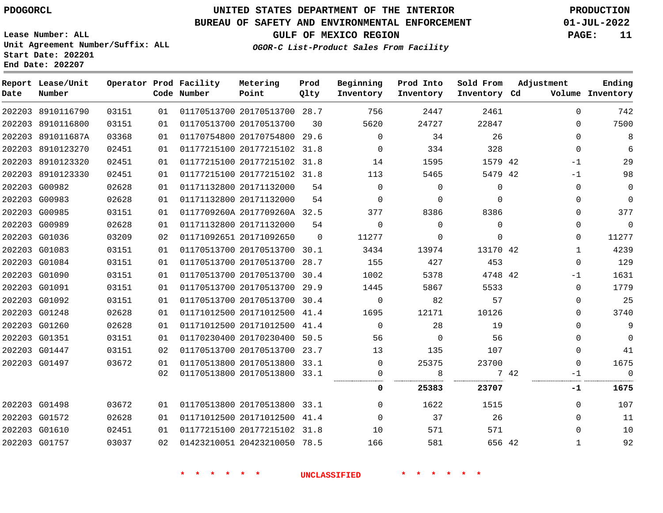**End Date: 202207**

# **UNITED STATES DEPARTMENT OF THE INTERIOR PDOGORCL PRODUCTION**

#### **BUREAU OF SAFETY AND ENVIRONMENTAL ENFORCEMENT 01-JUL-2022**

**Lease Number: ALL Unit Agreement Number/Suffix: ALL Start Date: 202201**

**GULF OF MEXICO REGION PAGE: 11**

**OGOR-C List-Product Sales From Facility**

| Date | Report Lease/Unit<br>Number |       |    | Operator Prod Facility<br>Code Number | Metering<br>Point            | Prod<br>Qlty   | Beginning<br>Inventory | Prod Into<br>Inventory | Sold From<br>Inventory Cd | Adjustment   | Ending<br>Volume Inventory |
|------|-----------------------------|-------|----|---------------------------------------|------------------------------|----------------|------------------------|------------------------|---------------------------|--------------|----------------------------|
|      | 202203 8910116790           | 03151 | 01 |                                       | 01170513700 20170513700 28.7 |                | 756                    | 2447                   | 2461                      | $\Omega$     | 742                        |
|      | 202203 8910116800           | 03151 | 01 |                                       | 01170513700 20170513700      | 30             | 5620                   | 24727                  | 22847                     | $\Omega$     | 7500                       |
|      | 202203 891011687A           | 03368 | 01 |                                       | 01170754800 20170754800 29.6 |                | $\overline{0}$         | 34                     | 26                        | $\Omega$     | $\,8\,$                    |
|      | 202203 8910123270           | 02451 | 01 |                                       | 01177215100 20177215102 31.8 |                | $\overline{0}$         | 334                    | 328                       | $\Omega$     | 6                          |
|      | 202203 8910123320           | 02451 | 01 |                                       | 01177215100 20177215102 31.8 |                | 14                     | 1595                   | 1579 42                   | $-1$         | 29                         |
|      | 202203 8910123330           | 02451 | 01 |                                       | 01177215100 20177215102 31.8 |                | 113                    | 5465                   | 5479 42                   | $-1$         | 98                         |
|      | 202203 G00982               | 02628 | 01 |                                       | 01171132800 20171132000      | 54             | $\Omega$               | $\Omega$               | $\Omega$                  | $\Omega$     | $\mathbf 0$                |
|      | 202203 G00983               | 02628 | 01 |                                       | 01171132800 20171132000      | 54             | $\Omega$               | $\mathbf{0}$           | $\Omega$                  | $\Omega$     | $\mathsf{O}$               |
|      | 202203 G00985               | 03151 | 01 |                                       | 0117709260A 2017709260A 32.5 |                | 377                    | 8386                   | 8386                      | $\Omega$     | 377                        |
|      | 202203 G00989               | 02628 | 01 |                                       | 01171132800 20171132000      | 54             | $\Omega$               | $\Omega$               | $\Omega$                  | $\Omega$     | $\mathbb O$                |
|      | 202203 G01036               | 03209 | 02 |                                       | 01171092651 20171092650      | $\overline{0}$ | 11277                  | 0                      | $\mathbf 0$               | $\Omega$     | 11277                      |
|      | 202203 G01083               | 03151 | 01 |                                       | 01170513700 20170513700 30.1 |                | 3434                   | 13974                  | 13170 42                  | $\mathbf{1}$ | 4239                       |
|      | 202203 G01084               | 03151 | 01 |                                       | 01170513700 20170513700 28.7 |                | 155                    | 427                    | 453                       | $\Omega$     | 129                        |
|      | 202203 G01090               | 03151 | 01 |                                       | 01170513700 20170513700 30.4 |                | 1002                   | 5378                   | 4748 42                   | -1           | 1631                       |
|      | 202203 G01091               | 03151 | 01 |                                       | 01170513700 20170513700 29.9 |                | 1445                   | 5867                   | 5533                      | $\Omega$     | 1779                       |
|      | 202203 G01092               | 03151 | 01 |                                       | 01170513700 20170513700 30.4 |                | $\overline{0}$         | 82                     | 57                        | $\Omega$     | 25                         |
|      | 202203 G01248               | 02628 | 01 |                                       | 01171012500 20171012500 41.4 |                | 1695                   | 12171                  | 10126                     | $\Omega$     | 3740                       |
|      | 202203 G01260               | 02628 | 01 |                                       | 01171012500 20171012500 41.4 |                | $\overline{0}$         | 28                     | 19                        | $\Omega$     | $\overline{9}$             |
|      | 202203 G01351               | 03151 | 01 |                                       | 01170230400 20170230400 50.5 |                | 56                     | $\overline{0}$         | 56                        | $\Omega$     | $\mathsf 0$                |
|      | 202203 G01447               | 03151 | 02 |                                       | 01170513700 20170513700 23.7 |                | 13                     | 135                    | 107                       | $\Omega$     | 41                         |
|      | 202203 G01497               | 03672 | 01 |                                       | 01170513800 20170513800 33.1 |                | $\overline{0}$         | 25375                  | 23700                     | $\Omega$     | 1675                       |
|      |                             |       | 02 |                                       | 01170513800 20170513800 33.1 |                | 0                      | 8                      |                           | 7 42<br>$-1$ | $\overline{0}$             |
|      |                             |       |    |                                       |                              |                | 0                      | 25383                  | 23707                     | -1           | 1675                       |
|      | 202203 G01498               | 03672 | 01 |                                       | 01170513800 20170513800 33.1 |                | $\overline{0}$         | 1622                   | 1515                      | $\Omega$     | 107                        |
|      | 202203 G01572               | 02628 | 01 |                                       | 01171012500 20171012500 41.4 |                | $\Omega$               | 37                     | 26                        | $\Omega$     | 11                         |
|      | 202203 G01610               | 02451 | 01 |                                       | 01177215100 20177215102 31.8 |                | 10                     | 571                    | 571                       | $\Omega$     | 10                         |
|      | 202203 G01757               | 03037 | 02 |                                       | 01423210051 20423210050 78.5 |                | 166                    | 581                    | 656 42                    | $\mathbf{1}$ | 92                         |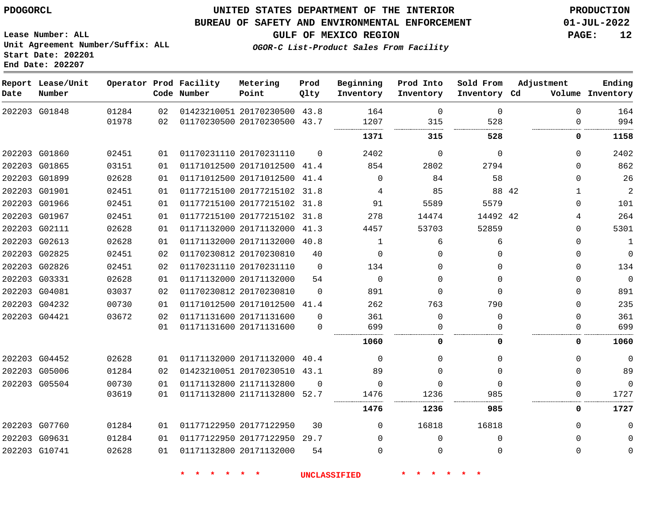#### **BUREAU OF SAFETY AND ENVIRONMENTAL ENFORCEMENT 01-JUL-2022**

**GULF OF MEXICO REGION PAGE: 12**

**Lease Number: ALL Unit Agreement Number/Suffix: ALL Start Date: 202201 End Date: 202207**

**OGOR-C List-Product Sales From Facility**

| Date | Report Lease/Unit<br>Number |                |          | Operator Prod Facility<br>Code Number | Metering<br>Point                                            | Prod<br>Qlty | Beginning<br>Inventory | Prod Into<br>Inventory | Sold From<br>Inventory Cd | Adjustment           | Ending<br>Volume Inventory |
|------|-----------------------------|----------------|----------|---------------------------------------|--------------------------------------------------------------|--------------|------------------------|------------------------|---------------------------|----------------------|----------------------------|
|      | 202203 G01848               | 01284<br>01978 | 02<br>02 |                                       | 01423210051 20170230500 43.8<br>01170230500 20170230500 43.7 |              | 164<br>1207            | $\mathbf 0$<br>315     | 0<br>528                  | $\Omega$<br>$\Omega$ | 164<br>994                 |
|      |                             |                |          |                                       |                                                              |              |                        |                        |                           |                      |                            |
|      |                             |                |          |                                       |                                                              |              | 1371                   | 315                    | 528                       | 0                    | 1158                       |
|      | 202203 G01860               | 02451          | 01       |                                       | 01170231110 20170231110                                      | $\Omega$     | 2402                   | $\mathbf 0$            | 0                         | $\Omega$             | 2402                       |
|      | 202203 G01865               | 03151          | 01       |                                       | 01171012500 20171012500                                      | 41.4         | 854                    | 2802                   | 2794                      | $\Omega$             | 862                        |
|      | 202203 G01899               | 02628          | 01       |                                       | 01171012500 20171012500 41.4                                 |              | $\Omega$               | 84                     | 58                        | $\Omega$             | 26                         |
|      | 202203 G01901               | 02451          | 01       |                                       | 01177215100 20177215102 31.8                                 |              | 4                      | 85                     |                           | 88 42<br>1           | $\overline{2}$             |
|      | 202203 G01966               | 02451          | 01       |                                       | 01177215100 20177215102 31.8                                 |              | 91                     | 5589                   | 5579                      | $\Omega$             | 101                        |
|      | 202203 G01967               | 02451          | 01       |                                       | 01177215100 20177215102 31.8                                 |              | 278                    | 14474                  | 14492 42                  | 4                    | 264                        |
|      | 202203 G02111               | 02628          | 01       |                                       | 01171132000 20171132000 41.3                                 |              | 4457                   | 53703                  | 52859                     | $\Omega$             | 5301                       |
|      | 202203 G02613               | 02628          | 01       |                                       | 01171132000 20171132000 40.8                                 |              | $\mathbf 1$            | 6                      | 6                         | 0                    | $\mathbf 1$                |
|      | 202203 G02825               | 02451          | 02       |                                       | 01170230812 20170230810                                      | 40           | $\Omega$               | $\Omega$               | $\Omega$                  | $\Omega$             | $\mathbf{0}$               |
|      | 202203 G02826               | 02451          | 02       |                                       | 01170231110 20170231110                                      | $\Omega$     | 134                    | $\Omega$               | 0                         | $\Omega$             | 134                        |
|      | 202203 G03331               | 02628          | 01       |                                       | 01171132000 20171132000                                      | 54           | $\Omega$               | $\Omega$               | $\Omega$                  | $\Omega$             | $\Omega$                   |
|      | 202203 G04081               | 03037          | 02       |                                       | 01170230812 20170230810                                      | $\Omega$     | 891                    | $\Omega$               | $\Omega$                  | $\Omega$             | 891                        |
|      | 202203 G04232               | 00730          | 01       |                                       | 01171012500 20171012500                                      | 41.4         | 262                    | 763                    | 790                       | $\Omega$             | 235                        |
|      | 202203 G04421               | 03672          | 02       |                                       | 01171131600 20171131600                                      | $\Omega$     | 361                    | $\mathbf 0$            | $\Omega$                  | $\Omega$             | 361                        |
|      |                             |                | 01       |                                       | 01171131600 20171131600                                      | 0            | 699                    | $\Omega$               | O                         | $\Omega$             | 699                        |
|      |                             |                |          |                                       |                                                              |              | 1060                   | 0                      | 0                         | 0                    | 1060                       |
|      | 202203 G04452               | 02628          | 01       |                                       | 01171132000 20171132000 40.4                                 |              | $\Omega$               | $\Omega$               | $\Omega$                  | $\Omega$             | $\Omega$                   |
|      | 202203 G05006               | 01284          | 02       |                                       | 01423210051 20170230510 43.1                                 |              | 89                     | $\Omega$               | $\Omega$                  | $\Omega$             | 89                         |
|      | 202203 G05504               | 00730          | 01       |                                       | 01171132800 21171132800                                      | $\Omega$     | $\Omega$               | $\Omega$               | $\Omega$                  | $\Omega$             | $\Omega$                   |
|      |                             | 03619          | 01       |                                       | 01171132800 21171132800                                      | 52.7         | 1476                   | 1236                   | 985                       | $\mathbf 0$          | 1727                       |
|      |                             |                |          |                                       |                                                              |              | 1476                   | 1236                   | 985                       | 0                    | 1727                       |
|      | 202203 G07760               | 01284          | 01       |                                       | 01177122950 20177122950                                      | 30           | 0                      | 16818                  | 16818                     | $\Omega$             | $\Omega$                   |
|      | 202203 G09631               | 01284          | 01       |                                       | 01177122950 20177122950 29.7                                 |              | $\Omega$               | $\Omega$               | $\Omega$                  | $\Omega$             | $\Omega$                   |
|      | 202203 G10741               | 02628          | 01       |                                       | 01171132800 20171132000                                      | 54           | $\Omega$               | $\Omega$               | $\Omega$                  | $\Omega$             | $\Omega$                   |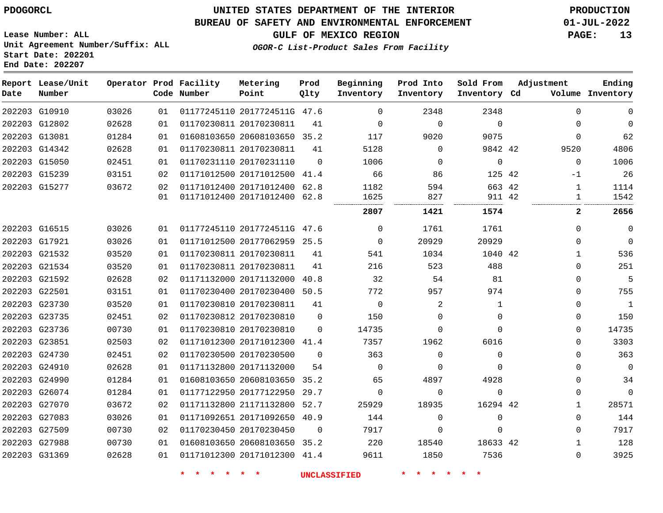#### **BUREAU OF SAFETY AND ENVIRONMENTAL ENFORCEMENT 01-JUL-2022**

**OGOR-C List-Product Sales From Facility**

**GULF OF MEXICO REGION PAGE: 13**

**Lease Number: ALL Unit Agreement Number/Suffix: ALL Start Date: 202201 End Date: 202207**

| Date | Report Lease/Unit<br>Number |       |    | Operator Prod Facility<br>Code Number | Metering<br>Point            | Prod<br>Qlty | Beginning<br>Inventory | Prod Into<br>Inventory | Sold From<br>Inventory Cd | Adjustment   | Ending<br>Volume Inventory |
|------|-----------------------------|-------|----|---------------------------------------|------------------------------|--------------|------------------------|------------------------|---------------------------|--------------|----------------------------|
|      | 202203 G10910               | 03026 | 01 |                                       | 01177245110 2017724511G 47.6 |              | 0                      | 2348                   | 2348                      | $\Omega$     | $\mathbf 0$                |
|      | 202203 G12802               | 02628 | 01 | 01170230811 20170230811               |                              | 41           | $\mathbf 0$            | $\mathbf 0$            | $\mathbf 0$               | $\Omega$     | $\mathbf 0$                |
|      | 202203 G13081               | 01284 | 01 |                                       | 01608103650 20608103650 35.2 |              | 117                    | 9020                   | 9075                      | $\Omega$     | 62                         |
|      | 202203 G14342               | 02628 | 01 |                                       | 01170230811 20170230811      | 41           | 5128                   | $\Omega$               | 9842 42                   | 9520         | 4806                       |
|      | 202203 G15050               | 02451 | 01 |                                       | 01170231110 20170231110      | $\Omega$     | 1006                   | $\Omega$               | $\mathbf 0$               | $\Omega$     | 1006                       |
|      | 202203 G15239               | 03151 | 02 |                                       | 01171012500 20171012500      | 41.4         | 66                     | 86                     | 125 42                    | $-1$         | 26                         |
|      | 202203 G15277               | 03672 | 02 |                                       | 01171012400 20171012400 62.8 |              | 1182                   | 594                    | 663 42                    | $\mathbf{1}$ | 1114                       |
|      |                             |       | 01 |                                       | 01171012400 20171012400 62.8 |              | 1625                   | 827                    | 911 42                    | 1            | 1542                       |
|      |                             |       |    |                                       |                              |              | 2807                   | 1421                   | 1574                      | $\mathbf{2}$ | 2656                       |
|      | 202203 G16515               | 03026 | 01 |                                       | 01177245110 2017724511G 47.6 |              | $\Omega$               | 1761                   | 1761                      | $\mathbf 0$  | $\mathbf 0$                |
|      | 202203 G17921               | 03026 | 01 |                                       | 01171012500 20177062959 25.5 |              | $\Omega$               | 20929                  | 20929                     | $\mathbf 0$  | $\mathbf 0$                |
|      | 202203 G21532               | 03520 | 01 |                                       | 01170230811 20170230811      | 41           | 541                    | 1034                   | 1040 42                   | 1            | 536                        |
|      | 202203 G21534               | 03520 | 01 |                                       | 01170230811 20170230811      | 41           | 216                    | 523                    | 488                       | $\Omega$     | 251                        |
|      | 202203 G21592               | 02628 | 02 |                                       | 01171132000 20171132000 40.8 |              | 32                     | 54                     | 81                        | 0            | 5                          |
|      | 202203 G22501               | 03151 | 01 |                                       | 01170230400 20170230400 50.5 |              | 772                    | 957                    | 974                       | $\mathbf 0$  | 755                        |
|      | 202203 G23730               | 03520 | 01 |                                       | 01170230810 20170230811      | 41           | $\mathbf 0$            | 2                      | 1                         | $\mathbf 0$  | $\overline{1}$             |
|      | 202203 G23735               | 02451 | 02 |                                       | 01170230812 20170230810      | $\Omega$     | 150                    | $\Omega$               | $\mathbf 0$               | $\mathbf 0$  | 150                        |
|      | 202203 G23736               | 00730 | 01 |                                       | 01170230810 20170230810      | $\Omega$     | 14735                  | $\Omega$               | $\Omega$                  | $\mathbf 0$  | 14735                      |
|      | 202203 G23851               | 02503 | 02 |                                       | 01171012300 20171012300 41.4 |              | 7357                   | 1962                   | 6016                      | $\mathbf 0$  | 3303                       |
|      | 202203 G24730               | 02451 | 02 |                                       | 01170230500 20170230500      | $\Omega$     | 363                    | $\Omega$               | $\Omega$                  | $\Omega$     | 363                        |
|      | 202203 G24910               | 02628 | 01 |                                       | 01171132800 20171132000      | 54           | 0                      | $\Omega$               | $\Omega$                  | 0            | $\overline{0}$             |
|      | 202203 G24990               | 01284 | 01 |                                       | 01608103650 20608103650 35.2 |              | 65                     | 4897                   | 4928                      | $\mathbf 0$  | 34                         |
|      | 202203 G26074               | 01284 | 01 |                                       | 01177122950 20177122950 29.7 |              | $\mathbf 0$            | $\Omega$               | $\Omega$                  | $\Omega$     | $\Omega$                   |
|      | 202203 G27070               | 03672 | 02 |                                       | 01171132800 21171132800 52.7 |              | 25929                  | 18935                  | 16294 42                  | $\mathbf{1}$ | 28571                      |
|      | 202203 G27083               | 03026 | 01 |                                       | 01171092651 20171092650      | 40.9         | 144                    | $\Omega$               | $\mathbf 0$               | $\mathbf 0$  | 144                        |
|      | 202203 G27509               | 00730 | 02 |                                       | 01170230450 20170230450      | $\mathbf 0$  | 7917                   | 0                      | $\mathbf 0$               | $\mathbf 0$  | 7917                       |
|      | 202203 G27988               | 00730 | 01 |                                       | 01608103650 20608103650 35.2 |              | 220                    | 18540                  | 18633 42                  | $\mathbf{1}$ | 128                        |
|      | 202203 G31369               | 02628 | 01 |                                       | 01171012300 20171012300 41.4 |              | 9611                   | 1850                   | 7536                      | $\mathbf 0$  | 3925                       |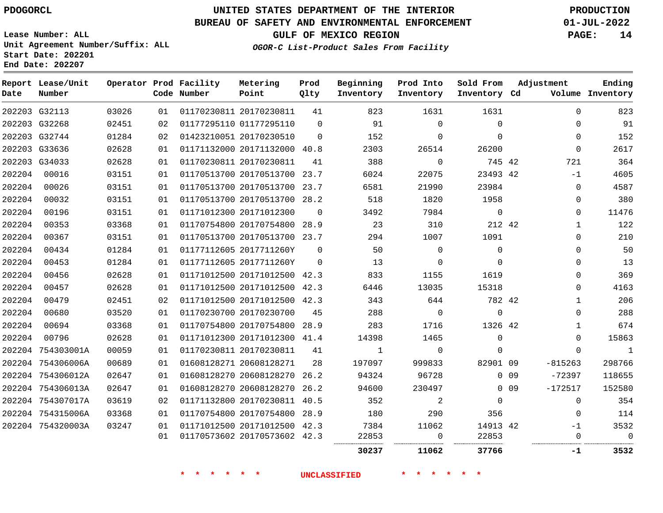**Start Date: 202201 End Date: 202207**

# **UNITED STATES DEPARTMENT OF THE INTERIOR PDOGORCL PRODUCTION**

### **BUREAU OF SAFETY AND ENVIRONMENTAL ENFORCEMENT 01-JUL-2022**

**Lease Number: ALL Unit Agreement Number/Suffix: ALL**

## **GULF OF MEXICO REGION PAGE: 14**

**OGOR-C List-Product Sales From Facility**

| Date   | Report Lease/Unit<br>Number |       |    | Operator Prod Facility<br>Code Number | Metering<br>Point            | Prod<br>Qlty | Beginning<br>Inventory | Prod Into<br>Inventory | Sold From<br>Inventory Cd |                 | Adjustment  | Ending<br>Volume Inventory |
|--------|-----------------------------|-------|----|---------------------------------------|------------------------------|--------------|------------------------|------------------------|---------------------------|-----------------|-------------|----------------------------|
|        | 202203 G32113               | 03026 | 01 |                                       | 01170230811 20170230811      | 41           | 823                    | 1631                   | 1631                      |                 | $\mathbf 0$ | 823                        |
|        | 202203 G32268               | 02451 | 02 |                                       | 01177295110 01177295110      | $\Omega$     | 91                     | $\mathbf 0$            | 0                         |                 | $\Omega$    | 91                         |
|        | 202203 G32744               | 01284 | 02 |                                       | 01423210051 20170230510      | $\Omega$     | 152                    | $\mathbf{0}$           | $\Omega$                  |                 | $\Omega$    | 152                        |
|        | 202203 G33636               | 02628 | 01 |                                       | 01171132000 20171132000 40.8 |              | 2303                   | 26514                  | 26200                     |                 | 0           | 2617                       |
|        | 202203 G34033               | 02628 | 01 |                                       | 01170230811 20170230811      | 41           | 388                    | $\mathbf 0$            | 745 42                    |                 | 721         | 364                        |
| 202204 | 00016                       | 03151 | 01 |                                       | 01170513700 20170513700 23.7 |              | 6024                   | 22075                  | 23493 42                  |                 | $-1$        | 4605                       |
| 202204 | 00026                       | 03151 | 01 |                                       | 01170513700 20170513700 23.7 |              | 6581                   | 21990                  | 23984                     |                 | $\mathbf 0$ | 4587                       |
| 202204 | 00032                       | 03151 | 01 |                                       | 01170513700 20170513700 28.2 |              | 518                    | 1820                   | 1958                      |                 | 0           | 380                        |
| 202204 | 00196                       | 03151 | 01 |                                       | 01171012300 20171012300      | $\mathbf 0$  | 3492                   | 7984                   | $\mathbf 0$               |                 | 0           | 11476                      |
| 202204 | 00353                       | 03368 | 01 |                                       | 01170754800 20170754800 28.9 |              | 23                     | 310                    | 212 42                    |                 | $\mathbf 1$ | 122                        |
| 202204 | 00367                       | 03151 | 01 |                                       | 01170513700 20170513700 23.7 |              | 294                    | 1007                   | 1091                      |                 | $\Omega$    | 210                        |
| 202204 | 00434                       | 01284 | 01 |                                       | 01177112605 2017711260Y      | $\Omega$     | 50                     | $\mathbf 0$            | $\mathbf 0$               |                 | $\Omega$    | 50                         |
| 202204 | 00453                       | 01284 | 01 |                                       | 01177112605 2017711260Y      | $\Omega$     | 13                     | $\mathbf{0}$           | $\mathbf{0}$              |                 | 0           | 13                         |
| 202204 | 00456                       | 02628 | 01 |                                       | 01171012500 20171012500 42.3 |              | 833                    | 1155                   | 1619                      |                 | $\Omega$    | 369                        |
| 202204 | 00457                       | 02628 | 01 |                                       | 01171012500 20171012500 42.3 |              | 6446                   | 13035                  | 15318                     |                 | $\Omega$    | 4163                       |
| 202204 | 00479                       | 02451 | 02 |                                       | 01171012500 20171012500 42.3 |              | 343                    | 644                    | 782 42                    |                 | $\mathbf 1$ | 206                        |
| 202204 | 00680                       | 03520 | 01 |                                       | 01170230700 20170230700      | 45           | 288                    | $\Omega$               | $\Omega$                  |                 | $\Omega$    | 288                        |
| 202204 | 00694                       | 03368 | 01 |                                       | 01170754800 20170754800 28.9 |              | 283                    | 1716                   | 1326 42                   |                 | 1           | 674                        |
| 202204 | 00796                       | 02628 | 01 |                                       | 01171012300 20171012300 41.4 |              | 14398                  | 1465                   | $\mathbf 0$               |                 | $\Omega$    | 15863                      |
|        | 202204 754303001A           | 00059 | 01 |                                       | 01170230811 20170230811      | 41           | $\mathbf{1}$           | 0                      | 0                         |                 | 0           | $\mathbf{1}$               |
|        | 202204 754306006A           | 00689 | 01 |                                       | 01608128271 20608128271      | 28           | 197097                 | 999833                 | 82901 09                  |                 | $-815263$   | 298766                     |
|        | 202204 754306012A           | 02647 | 01 |                                       | 01608128270 20608128270      | 26.2         | 94324                  | 96728                  |                           | 0 <sub>09</sub> | $-72397$    | 118655                     |
|        | 202204 754306013A           | 02647 | 01 |                                       | 01608128270 20608128270      | 26.2         | 94600                  | 230497                 |                           | 0 <sub>09</sub> | $-172517$   | 152580                     |
|        | 202204 754307017A           | 03619 | 02 |                                       | 01171132800 20170230811 40.5 |              | 352                    | 2                      | $\mathbf{0}$              |                 | $\mathbf 0$ | 354                        |
|        | 202204 754315006A           | 03368 | 01 |                                       | 01170754800 20170754800 28.9 |              | 180                    | 290                    | 356                       |                 | $\Omega$    | 114                        |
|        | 202204 754320003A           | 03247 | 01 |                                       | 01171012500 20171012500 42.3 |              | 7384                   | 11062                  | 14913 42                  |                 | -1          | 3532                       |
|        |                             |       | 01 |                                       | 01170573602 20170573602 42.3 |              | 22853                  | 0                      | 22853                     |                 | 0           | $\Omega$                   |
|        |                             |       |    |                                       |                              |              | 30237                  | 11062                  | 37766                     |                 | $-1$        | 3532                       |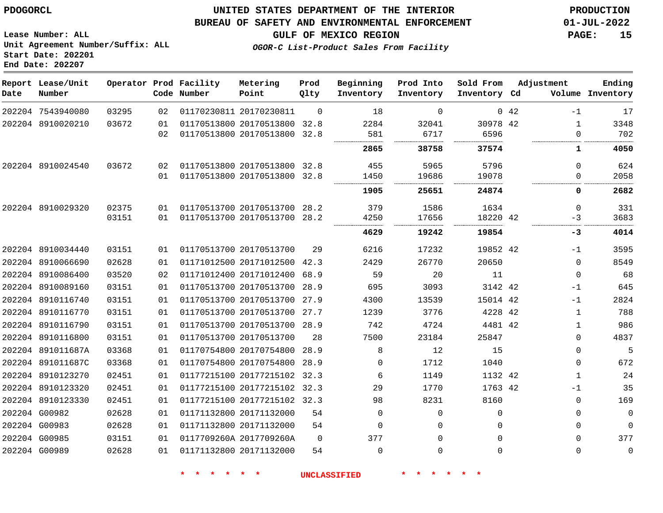**Report Lease/Unit**

**Number**

**Date**

### **UNITED STATES DEPARTMENT OF THE INTERIOR PDOGORCL PRODUCTION**

#### **BUREAU OF SAFETY AND ENVIRONMENTAL ENFORCEMENT 01-JUL-2022**

**Lease Number: ALL Unit Agreement Number/Suffix: ALL Start Date: 202201 End Date: 202207**

**Operator Prod Facility**

**Code Number**

**GULF OF MEXICO REGION PAGE: 15**

**Prod Qlty**

**Metering Point**

**Inventory Cd Volume**

**Adjustment**

**Ending**

**OGOR-C List-Product Sales From Facility**

**Beginning Inventory** **Prod Into Inventory** **Sold From Inventory**

| 202204 7543940080 | 03295 | 02 | 01170230811 20170230811      | $\Omega$ | 18       | ∩        |           | $0\quad 42$ | $-1$         | 17          |
|-------------------|-------|----|------------------------------|----------|----------|----------|-----------|-------------|--------------|-------------|
| 202204 8910020210 | 03672 | 01 | 01170513800 20170513800      | 32.8     | 2284     | 32041    | 30978 42  |             | 1            | 3348        |
|                   |       | 02 | 01170513800 20170513800      | 32.8     | 581      | 6717     | 6596      |             | $\Omega$     | 702         |
|                   |       |    |                              |          | 2865     | 38758    | 37574     |             | 1            | 4050        |
| 202204 8910024540 | 03672 | 02 | 01170513800 20170513800 32.8 |          | 455      | 5965     | 5796      |             | $\Omega$     | 624         |
|                   |       | 01 | 01170513800 20170513800 32.8 |          | 1450     | 19686    | 19078<br> |             | 0            | 2058        |
|                   |       |    |                              |          | 1905     | 25651    | 24874     |             | 0            | 2682        |
| 202204 8910029320 | 02375 | 01 | 01170513700 20170513700 28.2 |          | 379      | 1586     | 1634      |             | 0            | 331         |
|                   | 03151 | 01 | 01170513700 20170513700 28.2 |          | 4250     | 17656    | 18220 42  |             | -3           | 3683        |
|                   |       |    |                              |          | 4629     | 19242    | 19854     |             | -3           | 4014        |
| 202204 8910034440 | 03151 | 01 | 01170513700 20170513700      | 29       | 6216     | 17232    | 19852 42  |             | -1           | 3595        |
| 202204 8910066690 | 02628 | 01 | 01171012500 20171012500 42.3 |          | 2429     | 26770    | 20650     |             | $\Omega$     | 8549        |
| 202204 8910086400 | 03520 | 02 | 01171012400 20171012400      | 68.9     | 59       | 20       | 11        |             | $\Omega$     | 68          |
| 202204 8910089160 | 03151 | 01 | 01170513700 20170513700 28.9 |          | 695      | 3093     | 3142 42   |             | -1           | 645         |
| 202204 8910116740 | 03151 | 01 | 01170513700 20170513700      | 27.9     | 4300     | 13539    | 15014 42  |             | -1           | 2824        |
| 202204 8910116770 | 03151 | 01 | 01170513700 20170513700      | 27.7     | 1239     | 3776     | 4228 42   |             | 1            | 788         |
| 202204 8910116790 | 03151 | 01 | 01170513700 20170513700 28.9 |          | 742      | 4724     | 4481 42   |             | 1            | 986         |
| 202204 8910116800 | 03151 | 01 | 01170513700 20170513700      | 28       | 7500     | 23184    | 25847     |             | $\Omega$     | 4837        |
| 202204 891011687A | 03368 | 01 | 01170754800 20170754800      | 28.9     | 8        | 12       | 15        |             | $\mathbf 0$  | 5           |
| 202204 891011687C | 03368 | 01 | 01170754800 20170754800      | 28.9     | $\Omega$ | 1712     | 1040      |             | 0            | 672         |
| 202204 8910123270 | 02451 | 01 | 01177215100 20177215102      | 32.3     | 6        | 1149     | 1132 42   |             | $\mathbf{1}$ | 24          |
| 202204 8910123320 | 02451 | 01 | 01177215100 20177215102 32.3 |          | 29       | 1770     | 1763 42   |             | -1           | 35          |
| 202204 8910123330 | 02451 | 01 | 01177215100 20177215102 32.3 |          | 98       | 8231     | 8160      |             | 0            | 169         |
| 202204 G00982     | 02628 | 01 | 01171132800 20171132000      | 54       | 0        | 0        | $\Omega$  |             | $\mathbf 0$  | $\mathbf 0$ |
| 202204 G00983     | 02628 | 01 | 01171132800 20171132000      | 54       | $\Omega$ | $\Omega$ |           |             | $\Omega$     | $\mathbf 0$ |
| 202204 G00985     | 03151 | 01 | 0117709260A 2017709260A      | $\Omega$ | 377      | $\Omega$ | $\Omega$  |             | 0            | 377         |
| 202204 G00989     | 02628 | 01 | 01171132800 20171132000      | 54       | $\Omega$ | $\Omega$ |           |             | $\Omega$     | $\Omega$    |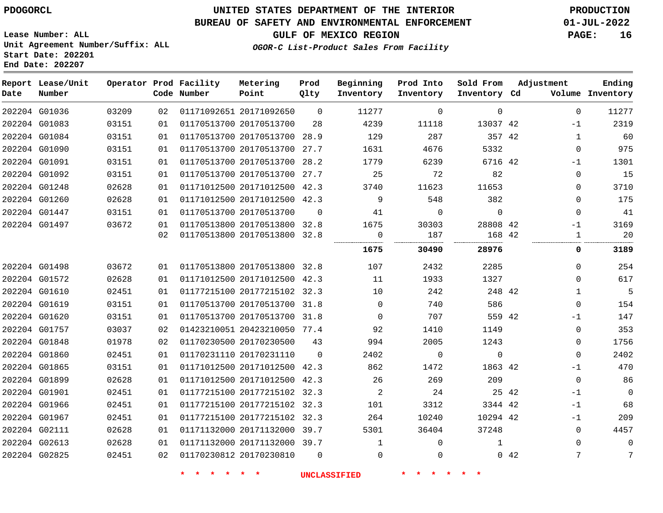**End Date: 202207**

# **UNITED STATES DEPARTMENT OF THE INTERIOR PDOGORCL PRODUCTION**

### **BUREAU OF SAFETY AND ENVIRONMENTAL ENFORCEMENT 01-JUL-2022**

**Lease Number: ALL Unit Agreement Number/Suffix: ALL Start Date: 202201**

### **GULF OF MEXICO REGION PAGE: 16**

**OGOR-C List-Product Sales From Facility**

| Date          | Report Lease/Unit<br>Number |       |    | Operator Prod Facility<br>Code Number | Metering<br>Point            | Prod<br>Qlty | Beginning<br>Inventory | Prod Into<br>Inventory | Sold From<br>Inventory Cd | Adjustment | Ending<br>Volume Inventory |
|---------------|-----------------------------|-------|----|---------------------------------------|------------------------------|--------------|------------------------|------------------------|---------------------------|------------|----------------------------|
|               | 202204 G01036               | 03209 | 02 |                                       | 01171092651 20171092650      | $\Omega$     | 11277                  | $\Omega$               | $\Omega$                  |            | $\Omega$<br>11277          |
|               | 202204 G01083               | 03151 | 01 |                                       | 01170513700 20170513700      | 28           | 4239                   | 11118                  | 13037 42                  | $-1$       | 2319                       |
|               | 202204 G01084               | 03151 | 01 |                                       | 01170513700 20170513700      | 28.9         | 129                    | 287                    | 357 42                    |            | 60<br>$\mathbf{1}$         |
|               | 202204 G01090               | 03151 | 01 |                                       | 01170513700 20170513700      | 27.7         | 1631                   | 4676                   | 5332                      |            | 975<br>0                   |
| 202204 G01091 |                             | 03151 | 01 |                                       | 01170513700 20170513700 28.2 |              | 1779                   | 6239                   | 6716 42                   | $-1$       | 1301                       |
|               | 202204 G01092               | 03151 | 01 |                                       | 01170513700 20170513700 27.7 |              | 25                     | 72                     | 82                        |            | 0<br>15                    |
|               | 202204 G01248               | 02628 | 01 |                                       | 01171012500 20171012500 42.3 |              | 3740                   | 11623                  | 11653                     |            | 0<br>3710                  |
|               | 202204 G01260               | 02628 | 01 |                                       | 01171012500 20171012500 42.3 |              | 9                      | 548                    | 382                       |            | 175<br>0                   |
| 202204 G01447 |                             | 03151 | 01 |                                       | 01170513700 20170513700      | $\Omega$     | 41                     | $\Omega$               | $\mathbf{0}$              |            | 41<br>$\Omega$             |
|               | 202204 G01497               | 03672 | 01 |                                       | 01170513800 20170513800 32.8 |              | 1675                   | 30303                  | 28808 42                  | $-1$       | 3169                       |
|               |                             |       | 02 |                                       | 01170513800 20170513800      | 32.8         | 0<br>.                 | 187                    | 168 42                    |            | 20<br>1                    |
|               |                             |       |    |                                       |                              |              | 1675                   | 30490                  | 28976                     |            | 0<br>3189                  |
|               | 202204 G01498               | 03672 | 01 |                                       | 01170513800 20170513800      | 32.8         | 107                    | 2432                   | 2285                      |            | 254<br>$\Omega$            |
|               | 202204 G01572               | 02628 | 01 |                                       | 01171012500 20171012500 42.3 |              | 11                     | 1933                   | 1327                      |            | 617<br>0                   |
|               | 202204 G01610               | 02451 | 01 |                                       | 01177215100 20177215102 32.3 |              | 10                     | 242                    | 248 42                    |            | 5<br>$\mathbf{1}$          |
|               | 202204 G01619               | 03151 | 01 |                                       | 01170513700 20170513700 31.8 |              | $\mathbf 0$            | 740                    | 586                       |            | 154<br>0                   |
|               | 202204 G01620               | 03151 | 01 |                                       | 01170513700 20170513700 31.8 |              | $\Omega$               | 707                    | 559 42                    | -1         | 147                        |
|               | 202204 G01757               | 03037 | 02 |                                       | 01423210051 20423210050 77.4 |              | 92                     | 1410                   | 1149                      |            | 353<br>0                   |
|               | 202204 G01848               | 01978 | 02 |                                       | 01170230500 20170230500      | 43           | 994                    | 2005                   | 1243                      |            | 1756<br>0                  |
|               | 202204 G01860               | 02451 | 01 |                                       | 01170231110 20170231110      | $\Omega$     | 2402                   | $\mathbf 0$            | $\mathbf 0$               |            | 2402<br>0                  |
|               | 202204 G01865               | 03151 | 01 |                                       | 01171012500 20171012500      | 42.3         | 862                    | 1472                   | 1863 42                   | $-1$       | 470                        |
|               | 202204 G01899               | 02628 | 01 |                                       | 01171012500 20171012500 42.3 |              | 26                     | 269                    | 209                       |            | 86<br>$\Omega$             |
| 202204 G01901 |                             | 02451 | 01 |                                       | 01177215100 20177215102 32.3 |              | 2                      | 24                     | 25 42                     | $-1$       | $\mathbf 0$                |
|               | 202204 G01966               | 02451 | 01 |                                       | 01177215100 20177215102 32.3 |              | 101                    | 3312                   | 3344 42                   | $-1$       | 68                         |
|               | 202204 G01967               | 02451 | 01 |                                       | 01177215100 20177215102 32.3 |              | 264                    | 10240                  | 10294 42                  | $-1$       | 209                        |
| 202204 G02111 |                             | 02628 | 01 |                                       | 01171132000 20171132000 39.7 |              | 5301                   | 36404                  | 37248                     |            | 4457<br>$\Omega$           |
|               | 202204 G02613               | 02628 | 01 |                                       | 01171132000 20171132000 39.7 |              | $\mathbf{1}$           | $\mathbf 0$            | 1                         |            | 0<br>0                     |
| 202204 G02825 |                             | 02451 | 02 |                                       | 01170230812 20170230810      | $\Omega$     | 0                      | $\mathbf 0$            |                           | 042        | 7<br>7                     |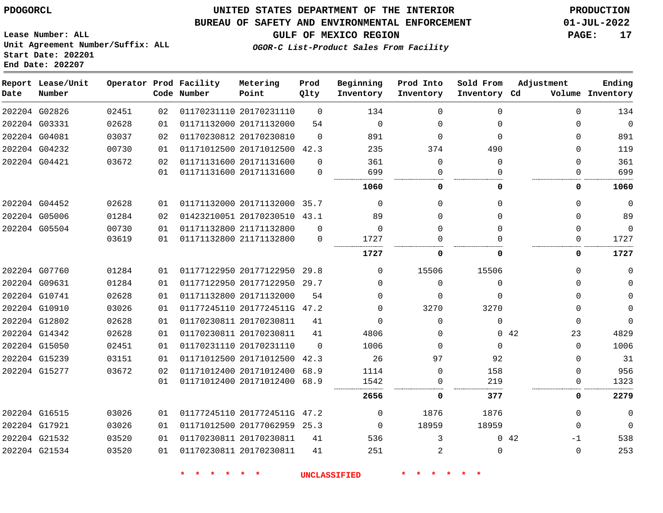#### **BUREAU OF SAFETY AND ENVIRONMENTAL ENFORCEMENT 01-JUL-2022**

**OGOR-C List-Product Sales From Facility**

**GULF OF MEXICO REGION PAGE: 17**

**Lease Number: ALL Unit Agreement Number/Suffix: ALL Start Date: 202201 End Date: 202207**

| Date | Report Lease/Unit<br>Number |       |    | Operator Prod Facility<br>Code Number | Metering<br>Point            | Prod<br>Qlty | Beginning<br>Inventory | Prod Into<br>Inventory | Sold From<br>Inventory Cd | Adjustment  | Ending<br>Volume Inventory |
|------|-----------------------------|-------|----|---------------------------------------|------------------------------|--------------|------------------------|------------------------|---------------------------|-------------|----------------------------|
|      | 202204 G02826               | 02451 | 02 |                                       | 01170231110 20170231110      | $\Omega$     | 134                    | $\Omega$               | $\Omega$                  | $\Omega$    | 134                        |
|      | 202204 G03331               | 02628 | 01 |                                       | 01171132000 20171132000      | 54           | $\mathbf 0$            | $\Omega$               | $\Omega$                  | $\Omega$    | $\Omega$                   |
|      | 202204 G04081               | 03037 | 02 |                                       | 01170230812 20170230810      | $\Omega$     | 891                    | $\Omega$               | $\Omega$                  | $\Omega$    | 891                        |
|      | 202204 G04232               | 00730 | 01 |                                       | 01171012500 20171012500 42.3 |              | 235                    | 374                    | 490                       | $\Omega$    | 119                        |
|      | 202204 G04421               | 03672 | 02 |                                       | 01171131600 20171131600      | $\Omega$     | 361                    | 0                      | $\Omega$                  | $\Omega$    | 361                        |
|      |                             |       | 01 |                                       | 01171131600 20171131600      | $\mathbf 0$  | 699                    | $\Omega$               | $\Omega$                  | $\Omega$    | 699                        |
|      |                             |       |    |                                       |                              |              | 1060                   | $\mathbf 0$            | 0                         | 0           | 1060                       |
|      | 202204 G04452               | 02628 | 01 |                                       | 01171132000 20171132000      | 35.7         | $\Omega$               | $\Omega$               | $\Omega$                  | $\Omega$    | $\mathbf 0$                |
|      | 202204 G05006               | 01284 | 02 |                                       | 01423210051 20170230510 43.1 |              | 89                     | 0                      | $\Omega$                  | $\Omega$    | 89                         |
|      | 202204 G05504               | 00730 | 01 |                                       | 01171132800 21171132800      | $\Omega$     | $\mathbf 0$            | $\Omega$               | $\Omega$                  | $\Omega$    | $\mathbf 0$                |
|      |                             | 03619 | 01 |                                       | 01171132800 21171132800      | $\mathbf 0$  | 1727                   | $\Omega$               | $\cap$                    | 0           | 1727                       |
|      |                             |       |    |                                       |                              |              | 1727                   | $\mathbf 0$            | 0                         | 0           | 1727                       |
|      | 202204 G07760               | 01284 | 01 |                                       | 01177122950 20177122950      | 29.8         | 0                      | 15506                  | 15506                     | $\Omega$    | 0                          |
|      | 202204 G09631               | 01284 | 01 |                                       | 01177122950 20177122950      | 29.7         | $\Omega$               | $\Omega$               | $\Omega$                  | $\Omega$    | $\Omega$                   |
|      | 202204 G10741               | 02628 | 01 |                                       | 01171132800 20171132000      | 54           | $\Omega$               | $\Omega$               | $\Omega$                  | $\Omega$    | $\mathbf 0$                |
|      | 202204 G10910               | 03026 | 01 |                                       | 01177245110 2017724511G 47.2 |              | 0                      | 3270                   | 3270                      | 0           | $\mathbf 0$                |
|      | 202204 G12802               | 02628 | 01 |                                       | 01170230811 20170230811      | 41           | $\mathbf{0}$           | $\Omega$               | $\Omega$                  | $\Omega$    | $\mathbf 0$                |
|      | 202204 G14342               | 02628 | 01 |                                       | 01170230811 20170230811      | 41           | 4806                   | $\Omega$               |                           | 0.42<br>23  | 4829                       |
|      | 202204 G15050               | 02451 | 01 |                                       | 01170231110 20170231110      | $\Omega$     | 1006                   | $\Omega$               | $\Omega$                  | $\Omega$    | 1006                       |
|      | 202204 G15239               | 03151 | 01 |                                       | 01171012500 20171012500 42.3 |              | 26                     | 97                     | 92                        | $\Omega$    | 31                         |
|      | 202204 G15277               | 03672 | 02 |                                       | 01171012400 20171012400      | 68.9         | 1114                   | $\Omega$               | 158                       | $\Omega$    | 956                        |
|      |                             |       | 01 |                                       | 01171012400 20171012400 68.9 |              | 1542                   | 0                      | 219                       | 0           | 1323                       |
|      |                             |       |    |                                       |                              |              | 2656                   | 0                      | 377                       | 0           | 2279                       |
|      | 202204 G16515               | 03026 | 01 |                                       | 01177245110 2017724511G 47.2 |              | $\mathbf 0$            | 1876                   | 1876                      | $\Omega$    | $\mathbf{0}$               |
|      | 202204 G17921               | 03026 | 01 |                                       | 01171012500 20177062959      | 25.3         | $\mathbf 0$            | 18959                  | 18959                     | $\Omega$    | $\Omega$                   |
|      | 202204 G21532               | 03520 | 01 |                                       | 01170230811 20170230811      | 41           | 536                    | 3                      |                           | 042<br>$-1$ | 538                        |
|      | 202204 G21534               | 03520 | 01 |                                       | 01170230811 20170230811      | 41           | 251                    | 2                      | $\Omega$                  | $\Omega$    | 253                        |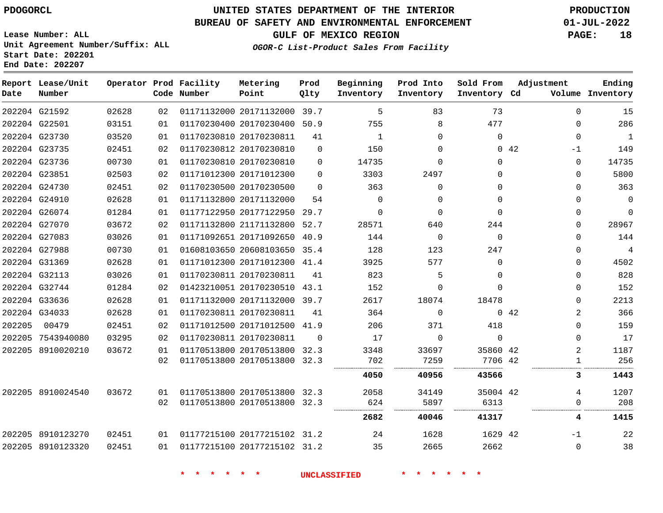**End Date: 202207**

# **UNITED STATES DEPARTMENT OF THE INTERIOR PDOGORCL PRODUCTION**

#### **BUREAU OF SAFETY AND ENVIRONMENTAL ENFORCEMENT 01-JUL-2022**

**Lease Number: ALL Unit Agreement Number/Suffix: ALL Start Date: 202201**

**GULF OF MEXICO REGION PAGE: 18**

**OGOR-C List-Product Sales From Facility**

| Date   | Report Lease/Unit<br>Number |       |    | Operator Prod Facility<br>Code Number | Metering<br>Point            | Prod<br>Qlty | Beginning<br>Inventory | Prod Into<br>Inventory | Sold From<br>Inventory Cd | Adjustment  |          | Ending<br>Volume Inventory |
|--------|-----------------------------|-------|----|---------------------------------------|------------------------------|--------------|------------------------|------------------------|---------------------------|-------------|----------|----------------------------|
|        | 202204 G21592               | 02628 | 02 |                                       | 01171132000 20171132000 39.7 |              | 5                      | 83                     | 73                        |             | 0        | 15                         |
|        | 202204 G22501               | 03151 | 01 |                                       | 01170230400 20170230400 50.9 |              | 755                    | 8                      | 477                       |             | $\Omega$ | 286                        |
|        | 202204 G23730               | 03520 | 01 |                                       | 01170230810 20170230811      | 41           | 1                      | 0                      | 0                         |             | $\Omega$ | $\mathbf{1}$               |
|        | 202204 G23735               | 02451 | 02 |                                       | 01170230812 20170230810      | $\Omega$     | 150                    | $\Omega$               |                           | $0\quad 42$ | -1       | 149                        |
|        | 202204 G23736               | 00730 | 01 |                                       | 01170230810 20170230810      | $\Omega$     | 14735                  | 0                      | 0                         |             | 0        | 14735                      |
|        | 202204 G23851               | 02503 | 02 |                                       | 01171012300 20171012300      | $\Omega$     | 3303                   | 2497                   | $\Omega$                  |             | $\Omega$ | 5800                       |
|        | 202204 G24730               | 02451 | 02 |                                       | 01170230500 20170230500      | $\Omega$     | 363                    | $\mathbf 0$            | 0                         |             | $\Omega$ | 363                        |
|        | 202204 G24910               | 02628 | 01 |                                       | 01171132800 20171132000      | 54           | $\Omega$               | $\Omega$               | $\Omega$                  |             | $\Omega$ | $\mathbf 0$                |
|        | 202204 G26074               | 01284 | 01 |                                       | 01177122950 20177122950      | 29.7         | 0                      | $\mathbf 0$            | $\Omega$                  |             | 0        | 0                          |
|        | 202204 G27070               | 03672 | 02 |                                       | 01171132800 21171132800 52.7 |              | 28571                  | 640                    | 244                       |             | $\Omega$ | 28967                      |
|        | 202204 G27083               | 03026 | 01 |                                       | 01171092651 20171092650 40.9 |              | 144                    | $\mathbf 0$            | $\Omega$                  |             | 0        | 144                        |
|        | 202204 G27988               | 00730 | 01 |                                       | 01608103650 20608103650 35.4 |              | 128                    | 123                    | 247                       |             | $\Omega$ | $\overline{4}$             |
|        | 202204 G31369               | 02628 | 01 |                                       | 01171012300 20171012300 41.4 |              | 3925                   | 577                    | 0                         |             | 0        | 4502                       |
|        | 202204 G32113               | 03026 | 01 |                                       | 01170230811 20170230811      | 41           | 823                    | 5                      | $\Omega$                  |             | $\Omega$ | 828                        |
|        | 202204 G32744               | 01284 | 02 |                                       | 01423210051 20170230510 43.1 |              | 152                    | 0                      | $\Omega$                  |             | $\Omega$ | 152                        |
|        | 202204 G33636               | 02628 | 01 |                                       | 01171132000 20171132000 39.7 |              | 2617                   | 18074                  | 18478                     |             | $\Omega$ | 2213                       |
|        | 202204 G34033               | 02628 | 01 |                                       | 01170230811 20170230811      | 41           | 364                    | $\mathbf 0$            |                           | 0.42        | 2        | 366                        |
| 202205 | 00479                       | 02451 | 02 |                                       | 01171012500 20171012500 41.9 |              | 206                    | 371                    | 418                       |             | $\Omega$ | 159                        |
|        | 202205 7543940080           | 03295 | 02 |                                       | 01170230811 20170230811      | $\Omega$     | 17                     | $\mathbf 0$            | $\Omega$                  |             | 0        | 17                         |
|        | 202205 8910020210           | 03672 | 01 |                                       | 01170513800 20170513800 32.3 |              | 3348                   | 33697                  | 35860 42                  |             | 2        | 1187                       |
|        |                             |       | 02 |                                       | 01170513800 20170513800 32.3 |              | 702                    | 7259                   | 7706 42                   |             | 1        | 256                        |
|        |                             |       |    |                                       |                              |              | 4050                   | 40956                  | 43566                     |             | 3        | 1443                       |
|        | 202205 8910024540           | 03672 | 01 |                                       | 01170513800 20170513800 32.3 |              | 2058                   | 34149                  | 35004 42                  |             | 4        | 1207                       |
|        |                             |       | 02 |                                       | 01170513800 20170513800 32.3 |              | 624                    | 5897                   | 6313                      |             | 0        | 208                        |
|        |                             |       |    |                                       |                              |              | 2682                   | 40046                  | 41317                     |             | 4        | 1415                       |
|        | 202205 8910123270           | 02451 | 01 |                                       | 01177215100 20177215102 31.2 |              | 24                     | 1628                   | 1629 42                   |             | -1       | 22                         |
|        | 202205 8910123320           | 02451 | 01 |                                       | 01177215100 20177215102 31.2 |              | 35                     | 2665                   | 2662                      |             | 0        | 38                         |